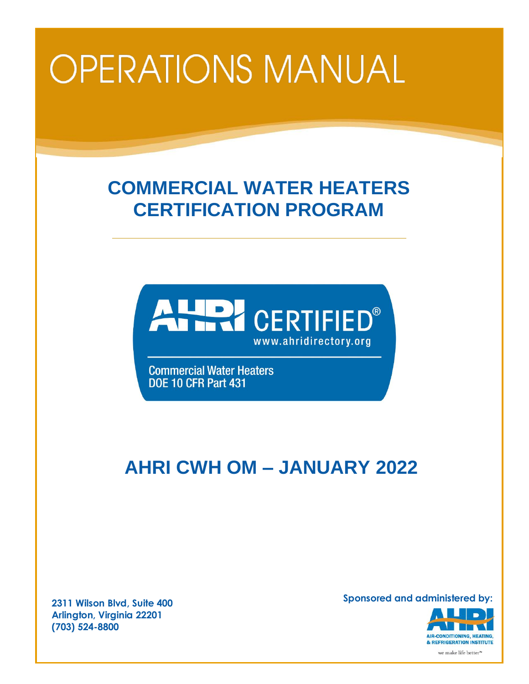# **OPERATIONS MANUAL**

# **COMMERCIAL WATER HEATERS CERTIFICATION PROGRAM**



**Commercial Water Heaters DOE 10 CFR Part 431** 

# **AHRI CWH OM – JANUARY 2022**

**2311 Wilson Blvd, Suite 400 Arlington, Virginia 22201 (703) 524-8800**

**Sponsored and administered by:**

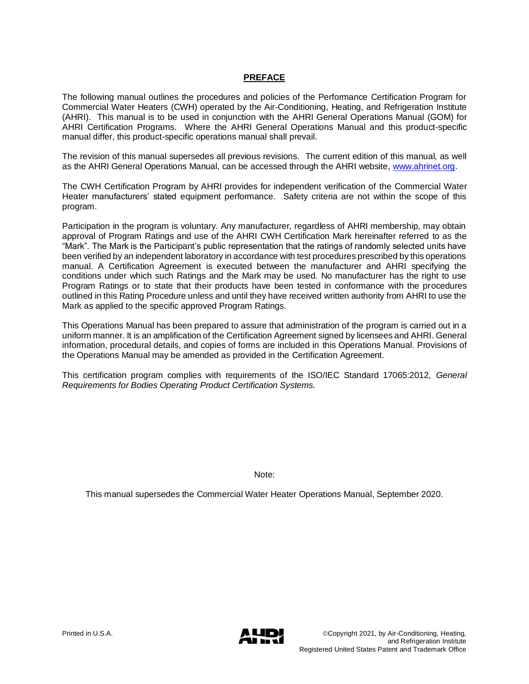#### **PREFACE**

The following manual outlines the procedures and policies of the Performance Certification Program for Commercial Water Heaters (CWH) operated by the Air-Conditioning, Heating, and Refrigeration Institute (AHRI). This manual is to be used in conjunction with the AHRI General Operations Manual (GOM) for AHRI Certification Programs. Where the AHRI General Operations Manual and this product-specific manual differ, this product-specific operations manual shall prevail.

The revision of this manual supersedes all previous revisions. The current edition of this manual, as well as the AHRI General Operations Manual, can be accessed through the AHRI website, [www.ahrinet.org.](http://www.ahrinet.org/)

The CWH Certification Program by AHRI provides for independent verification of the Commercial Water Heater manufacturers' stated equipment performance. Safety criteria are not within the scope of this program.

Participation in the program is voluntary. Any manufacturer, regardless of AHRI membership, may obtain approval of Program Ratings and use of the AHRI CWH Certification Mark hereinafter referred to as the "Mark". The Mark is the Participant's public representation that the ratings of randomly selected units have been verified by an independent laboratory in accordance with test procedures prescribed by this operations manual. A Certification Agreement is executed between the manufacturer and AHRI specifying the conditions under which such Ratings and the Mark may be used. No manufacturer has the right to use Program Ratings or to state that their products have been tested in conformance with the procedures outlined in this Rating Procedure unless and until they have received written authority from AHRI to use the Mark as applied to the specific approved Program Ratings.

This Operations Manual has been prepared to assure that administration of the program is carried out in a uniform manner. It is an amplification of the Certification Agreement signed by licensees and AHRI. General information, procedural details, and copies of forms are included in this Operations Manual. Provisions of the Operations Manual may be amended as provided in the Certification Agreement.

This certification program complies with requirements of the ISO/IEC Standard 17065:2012, *General Requirements for Bodies Operating Product Certification Systems.*

Note:

This manual supersedes the Commercial Water Heater Operations Manual, September 2020.

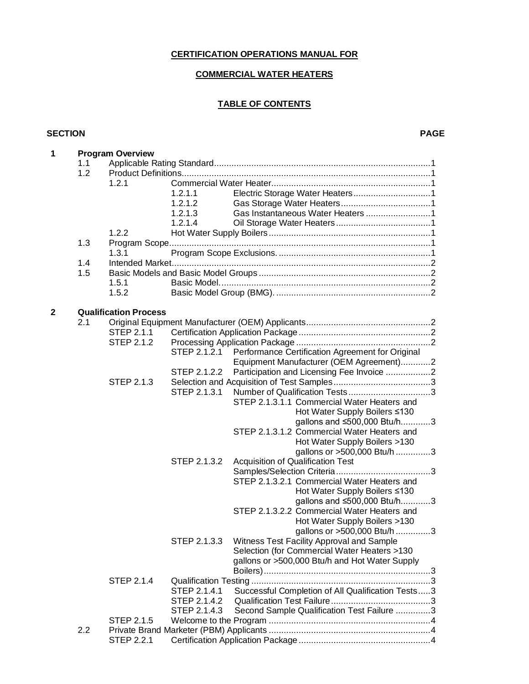## **CERTIFICATION OPERATIONS MANUAL FOR**

#### **COMMERCIAL WATER HEATERS**

### **TABLE OF CONTENTS**

#### **SECTION PAGE**

| 1            |     | <b>Program Overview</b>      |              |                                                   |  |  |  |
|--------------|-----|------------------------------|--------------|---------------------------------------------------|--|--|--|
|              | 1.1 |                              |              |                                                   |  |  |  |
|              | 1.2 |                              |              |                                                   |  |  |  |
|              |     | 1.2.1                        |              |                                                   |  |  |  |
|              |     |                              | 1.2.1.1      |                                                   |  |  |  |
|              |     |                              | 1.2.1.2      |                                                   |  |  |  |
|              |     |                              | 1.2.1.3      |                                                   |  |  |  |
|              |     |                              | 1.2.1.4      |                                                   |  |  |  |
|              |     | 1.2.2                        |              |                                                   |  |  |  |
|              | 1.3 |                              |              |                                                   |  |  |  |
|              |     | 1.3.1                        |              |                                                   |  |  |  |
|              | 1.4 |                              |              |                                                   |  |  |  |
|              | 1.5 |                              |              |                                                   |  |  |  |
|              |     | 1.5.1                        |              |                                                   |  |  |  |
|              |     | 1.5.2                        |              |                                                   |  |  |  |
| $\mathbf{2}$ |     | <b>Qualification Process</b> |              |                                                   |  |  |  |
|              | 2.1 |                              |              |                                                   |  |  |  |
|              |     | STEP 2.1.1                   |              |                                                   |  |  |  |
|              |     | STEP 2.1.2                   |              |                                                   |  |  |  |
|              |     |                              | STEP 2.1.2.1 | Performance Certification Agreement for Original  |  |  |  |
|              |     |                              |              | Equipment Manufacturer (OEM Agreement)2           |  |  |  |
|              |     |                              | STEP 2.1.2.2 | Participation and Licensing Fee Invoice 2         |  |  |  |
|              |     | <b>STEP 2.1.3</b>            |              |                                                   |  |  |  |
|              |     |                              | STEP 2.1.3.1 |                                                   |  |  |  |
|              |     |                              |              | STEP 2.1.3.1.1 Commercial Water Heaters and       |  |  |  |
|              |     |                              |              | Hot Water Supply Boilers ≤130                     |  |  |  |
|              |     |                              |              | gallons and ≤500,000 Btu/h3                       |  |  |  |
|              |     |                              |              | STEP 2.1.3.1.2 Commercial Water Heaters and       |  |  |  |
|              |     |                              |              | Hot Water Supply Boilers >130                     |  |  |  |
|              |     |                              |              | gallons or >500,000 Btu/h 3                       |  |  |  |
|              |     |                              | STEP 2.1.3.2 | Acquisition of Qualification Test                 |  |  |  |
|              |     |                              |              |                                                   |  |  |  |
|              |     |                              |              | STEP 2.1.3.2.1 Commercial Water Heaters and       |  |  |  |
|              |     |                              |              | Hot Water Supply Boilers ≤130                     |  |  |  |
|              |     |                              |              | gallons and ≤500,000 Btu/h3                       |  |  |  |
|              |     |                              |              | STEP 2.1.3.2.2 Commercial Water Heaters and       |  |  |  |
|              |     |                              |              | Hot Water Supply Boilers >130                     |  |  |  |
|              |     |                              |              | gallons or >500,000 Btu/h 3                       |  |  |  |
|              |     |                              | STEP 2.1.3.3 | Witness Test Facility Approval and Sample         |  |  |  |
|              |     |                              |              | Selection (for Commercial Water Heaters >130      |  |  |  |
|              |     |                              |              | gallons or >500,000 Btu/h and Hot Water Supply    |  |  |  |
|              |     |                              |              |                                                   |  |  |  |
|              |     | <b>STEP 2.1.4</b>            |              |                                                   |  |  |  |
|              |     |                              | STEP 2.1.4.1 | Successful Completion of All Qualification Tests3 |  |  |  |
|              |     |                              | STEP 2.1.4.2 |                                                   |  |  |  |
|              |     |                              | STEP 2.1.4.3 | Second Sample Qualification Test Failure 3        |  |  |  |
|              |     | <b>STEP 2.1.5</b>            |              |                                                   |  |  |  |
|              | 2.2 |                              |              |                                                   |  |  |  |
|              |     | <b>STEP 2.2.1</b>            |              |                                                   |  |  |  |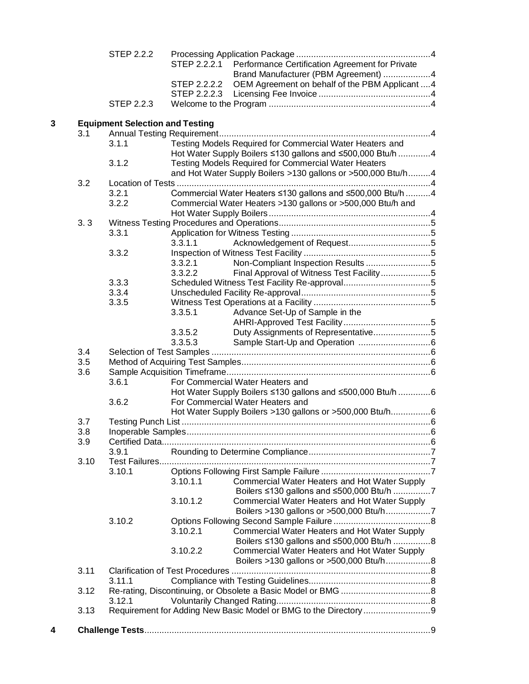|   |      | <b>STEP 2.2.2</b>                      | STEP 2.2.2.1 | Performance Certification Agreement for Private              |  |
|---|------|----------------------------------------|--------------|--------------------------------------------------------------|--|
|   |      |                                        |              | Brand Manufacturer (PBM Agreement) 4                         |  |
|   |      |                                        | STEP 2.2.2.2 | OEM Agreement on behalf of the PBM Applicant  4              |  |
|   |      |                                        | STEP 2.2.2.3 |                                                              |  |
|   |      | <b>STEP 2.2.3</b>                      |              |                                                              |  |
|   |      |                                        |              |                                                              |  |
| 3 |      | <b>Equipment Selection and Testing</b> |              |                                                              |  |
|   | 3.1  |                                        |              |                                                              |  |
|   |      | 3.1.1                                  |              | Testing Models Required for Commercial Water Heaters and     |  |
|   |      |                                        |              | Hot Water Supply Boilers ≤130 gallons and ≤500,000 Btu/h 4   |  |
|   |      | 3.1.2                                  |              | <b>Testing Models Required for Commercial Water Heaters</b>  |  |
|   |      |                                        |              | and Hot Water Supply Boilers >130 gallons or >500,000 Btu/h4 |  |
|   | 3.2  |                                        |              |                                                              |  |
|   |      | 3.2.1                                  |              | Commercial Water Heaters ≤130 gallons and ≤500,000 Btu/h 4   |  |
|   |      | 3.2.2                                  |              | Commercial Water Heaters >130 gallons or >500,000 Btu/h and  |  |
|   | 3.3  |                                        |              |                                                              |  |
|   |      | 3.3.1                                  |              |                                                              |  |
|   |      |                                        | 3.3.1.1      |                                                              |  |
|   |      | 3.3.2                                  |              |                                                              |  |
|   |      |                                        | 3.3.2.1      | Non-Compliant Inspection Results5                            |  |
|   |      |                                        | 3.3.2.2      | Final Approval of Witness Test Facility5                     |  |
|   |      | 3.3.3                                  |              |                                                              |  |
|   |      | 3.3.4                                  |              |                                                              |  |
|   |      | 3.3.5                                  |              |                                                              |  |
|   |      |                                        | 3.3.5.1      | Advance Set-Up of Sample in the                              |  |
|   |      |                                        |              |                                                              |  |
|   |      |                                        | 3.3.5.2      | Duty Assignments of Representative5                          |  |
|   |      |                                        | 3.3.5.3      |                                                              |  |
|   | 3.4  |                                        |              |                                                              |  |
|   | 3.5  |                                        |              |                                                              |  |
|   | 3.6  |                                        |              |                                                              |  |
|   |      | 3.6.1                                  |              | For Commercial Water Heaters and                             |  |
|   |      |                                        |              | Hot Water Supply Boilers ≤130 gallons and ≤500,000 Btu/h 6   |  |
|   |      | 3.6.2                                  |              | For Commercial Water Heaters and                             |  |
|   |      |                                        |              | Hot Water Supply Boilers >130 gallons or >500,000 Btu/h6     |  |
|   | 3.7  |                                        |              |                                                              |  |
|   | 3.8  |                                        |              |                                                              |  |
|   | 3.9  |                                        |              |                                                              |  |
|   |      | 3.9.1                                  |              |                                                              |  |
|   | 3.10 |                                        |              |                                                              |  |
|   |      | 3.10.1                                 |              |                                                              |  |
|   |      |                                        | 3.10.1.1     | Commercial Water Heaters and Hot Water Supply                |  |
|   |      |                                        |              | Boilers ≤130 gallons and ≤500,000 Btu/h 7                    |  |
|   |      |                                        | 3.10.1.2     | Commercial Water Heaters and Hot Water Supply                |  |
|   |      | 3.10.2                                 |              |                                                              |  |
|   |      |                                        | 3.10.2.1     | Commercial Water Heaters and Hot Water Supply                |  |
|   |      |                                        |              | Boilers ≤130 gallons and ≤500,000 Btu/h 8                    |  |
|   |      |                                        | 3.10.2.2     | Commercial Water Heaters and Hot Water Supply                |  |
|   |      |                                        |              | Boilers >130 gallons or >500,000 Btu/h8                      |  |
|   | 3.11 |                                        |              |                                                              |  |
|   |      | 3.11.1                                 |              |                                                              |  |
|   | 3.12 |                                        |              |                                                              |  |
|   |      | 3.12.1                                 |              |                                                              |  |
|   | 3.13 |                                        |              |                                                              |  |
|   |      |                                        |              |                                                              |  |
| 4 |      |                                        |              |                                                              |  |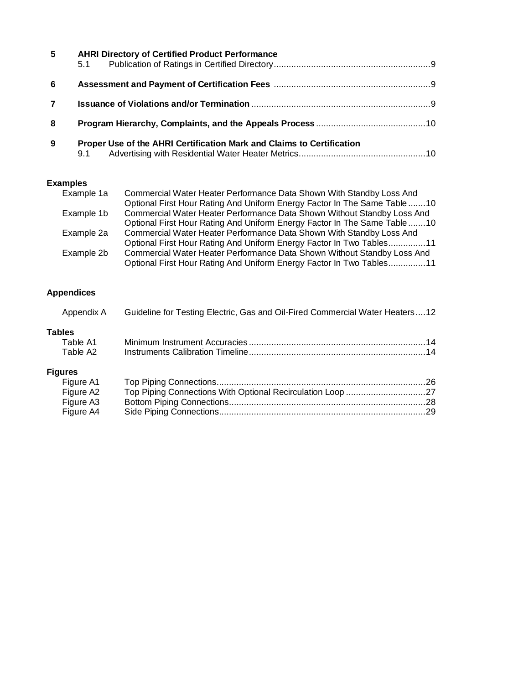| 5  | <b>AHRI Directory of Certified Product Performance</b><br>5.1                |  |
|----|------------------------------------------------------------------------------|--|
| -6 |                                                                              |  |
|    |                                                                              |  |
| -8 |                                                                              |  |
| 9  | Proper Use of the AHRI Certification Mark and Claims to Certification<br>9.1 |  |

#### **Examples**

| Example 1a | Commercial Water Heater Performance Data Shown With Standby Loss And     |
|------------|--------------------------------------------------------------------------|
|            | Optional First Hour Rating And Uniform Energy Factor In The Same Table10 |
| Example 1b | Commercial Water Heater Performance Data Shown Without Standby Loss And  |
|            | Optional First Hour Rating And Uniform Energy Factor In The Same Table10 |
| Example 2a | Commercial Water Heater Performance Data Shown With Standby Loss And     |
|            | Optional First Hour Rating And Uniform Energy Factor In Two Tables11     |
| Example 2b | Commercial Water Heater Performance Data Shown Without Standby Loss And  |
|            | Optional First Hour Rating And Uniform Energy Factor In Two Tables11     |

## **Appendices**

| Appendix A     | Guideline for Testing Electric, Gas and Oil-Fired Commercial Water Heaters12 |  |
|----------------|------------------------------------------------------------------------------|--|
| Tables         |                                                                              |  |
| Table A1       |                                                                              |  |
| Table A2       |                                                                              |  |
| <b>Figures</b> |                                                                              |  |
| Figure A1      |                                                                              |  |
| Figure A2      |                                                                              |  |
| Figure A3      |                                                                              |  |
| Figure A4      |                                                                              |  |
|                |                                                                              |  |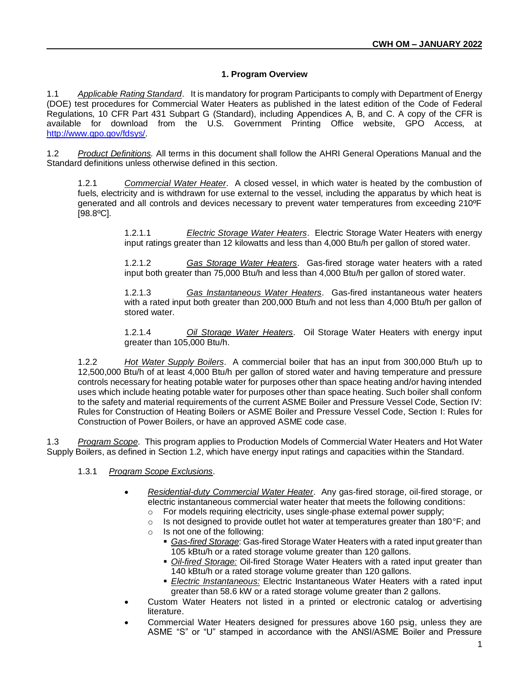#### **1. Program Overview**

1.1 *Applicable Rating Standard*. It is mandatory for program Participants to comply with Department of Energy (DOE) test procedures for Commercial Water Heaters as published in the latest edition of the Code of Federal Regulations, 10 CFR Part 431 Subpart G (Standard), including Appendices A, B, and C. A copy of the CFR is available for download from the U.S. Government Printing Office website, GPO Access, at [http://www.gpo.gov/fdsys/.](http://www.gpo.gov/fdsys/)

1.2 *Product Definitions.* All terms in this document shall follow the AHRI General Operations Manual and the Standard definitions unless otherwise defined in this section.

1.2.1 *Commercial Water Heater*. A closed vessel, in which water is heated by the combustion of fuels, electricity and is withdrawn for use external to the vessel, including the apparatus by which heat is generated and all controls and devices necessary to prevent water temperatures from exceeding 210ºF [98.8ºC].

> 1.2.1.1 *Electric Storage Water Heaters*. Electric Storage Water Heaters with energy input ratings greater than 12 kilowatts and less than 4,000 Btu/h per gallon of stored water.

> 1.2.1.2 *Gas Storage Water Heaters*. Gas-fired storage water heaters with a rated input both greater than 75,000 Btu/h and less than 4,000 Btu/h per gallon of stored water.

> 1.2.1.3 *Gas Instantaneous Water Heaters*. Gas-fired instantaneous water heaters with a rated input both greater than 200,000 Btu/h and not less than 4,000 Btu/h per gallon of stored water.

> 1.2.1.4 *Oil Storage Water Heaters*. Oil Storage Water Heaters with energy input greater than 105,000 Btu/h.

1.2.2 *Hot Water Supply Boilers*. A commercial boiler that has an input from 300,000 Btu/h up to 12,500,000 Btu/h of at least 4,000 Btu/h per gallon of stored water and having temperature and pressure controls necessary for heating potable water for purposes other than space heating and/or having intended uses which include heating potable water for purposes other than space heating. Such boiler shall conform to the safety and material requirements of the current ASME Boiler and Pressure Vessel Code, Section IV: Rules for Construction of Heating Boilers or ASME Boiler and Pressure Vessel Code, Section I: Rules for Construction of Power Boilers, or have an approved ASME code case.

1.3 *Program Scope*. This program applies to Production Models of Commercial Water Heaters and Hot Water Supply Boilers, as defined in Section 1.2, which have energy input ratings and capacities within the Standard.

#### 1.3.1 *Program Scope Exclusions*.

- *Residential-duty Commercial Water Heater*. Any gas-fired storage, oil-fired storage, or electric instantaneous commercial water heater that meets the following conditions:
	- o For models requiring electricity, uses single-phase external power supply;
	- $\circ$  Is not designed to provide outlet hot water at temperatures greater than 180°F; and
	- o Is not one of the following:
		- **Eas-fired Storage: Gas-fired Storage Water Heaters with a rated input greater than** 105 kBtu/h or a rated storage volume greater than 120 gallons.
		- *Oil-fired Storage:* Oil-fired Storage Water Heaters with a rated input greater than 140 kBtu/h or a rated storage volume greater than 120 gallons.
		- *Electric Instantaneous:* Electric Instantaneous Water Heaters with a rated input greater than 58.6 kW or a rated storage volume greater than 2 gallons.
- Custom Water Heaters not listed in a printed or electronic catalog or advertising literature.
- Commercial Water Heaters designed for pressures above 160 psig, unless they are ASME "S" or "U" stamped in accordance with the ANSI/ASME Boiler and Pressure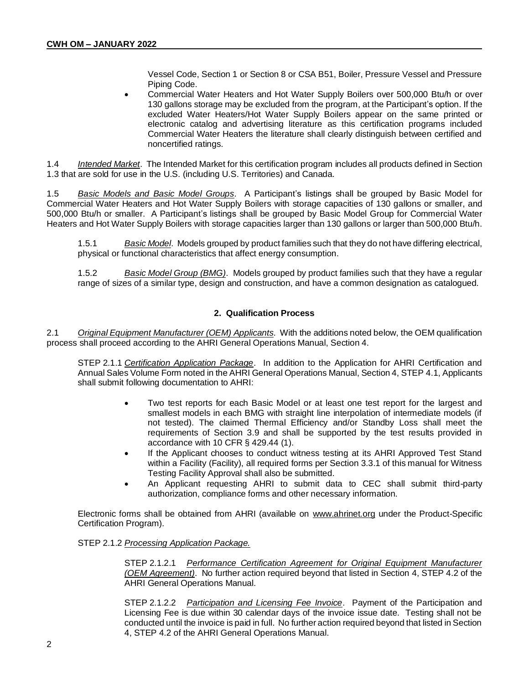Vessel Code, Section 1 or Section 8 or CSA B51, Boiler, Pressure Vessel and Pressure Piping Code.

• Commercial Water Heaters and Hot Water Supply Boilers over 500,000 Btu/h or over 130 gallons storage may be excluded from the program, at the Participant's option. If the excluded Water Heaters/Hot Water Supply Boilers appear on the same printed or electronic catalog and advertising literature as this certification programs included Commercial Water Heaters the literature shall clearly distinguish between certified and noncertified ratings.

1.4 *Intended Market*. The Intended Market for this certification program includes all products defined in Section 1.3 that are sold for use in the U.S. (including U.S. Territories) and Canada.

1.5 *Basic Models and Basic Model Groups*. A Participant's listings shall be grouped by Basic Model for Commercial Water Heaters and Hot Water Supply Boilers with storage capacities of 130 gallons or smaller, and 500,000 Btu/h or smaller. A Participant's listings shall be grouped by Basic Model Group for Commercial Water Heaters and Hot Water Supply Boilers with storage capacities larger than 130 gallons or larger than 500,000 Btu/h.

1.5.1 *Basic Model*. Models grouped by product families such that they do not have differing electrical, physical or functional characteristics that affect energy consumption.

1.5.2 *Basic Model Group (BMG)*. Models grouped by product families such that they have a regular range of sizes of a similar type, design and construction, and have a common designation as catalogued.

#### **2. Qualification Process**

2.1 *Original Equipment Manufacturer (OEM) Applicants*. With the additions noted below, the OEM qualification process shall proceed according to the AHRI General Operations Manual, Section 4.

STEP 2.1.1 *Certification Application Package*. In addition to the Application for AHRI Certification and Annual Sales Volume Form noted in the AHRI General Operations Manual, Section 4, STEP 4.1, Applicants shall submit following documentation to AHRI:

- Two test reports for each Basic Model or at least one test report for the largest and smallest models in each BMG with straight line interpolation of intermediate models (if not tested). The claimed Thermal Efficiency and/or Standby Loss shall meet the requirements of Section 3.9 and shall be supported by the test results provided in accordance with 10 CFR § 429.44 (1).
- If the Applicant chooses to conduct witness testing at its AHRI Approved Test Stand within a Facility (Facility), all required forms per Section 3.3.1 of this manual for Witness Testing Facility Approval shall also be submitted.
- An Applicant requesting AHRI to submit data to CEC shall submit third-party authorization, compliance forms and other necessary information.

Electronic forms shall be obtained from AHRI (available on [www.ahrinet.org](http://www.ahrinet.org/) under the Product-Specific Certification Program).

#### STEP 2.1.2 *Processing Application Package.*

STEP 2.1.2.1 *Performance Certification Agreement for Original Equipment Manufacturer (OEM Agreement)*. No further action required beyond that listed in Section 4, STEP 4.2 of the AHRI General Operations Manual.

STEP 2.1.2.2 *Participation and Licensing Fee Invoice*. Payment of the Participation and Licensing Fee is due within 30 calendar days of the invoice issue date. Testing shall not be conducted until the invoice is paid in full. No further action required beyond that listed in Section 4, STEP 4.2 of the AHRI General Operations Manual.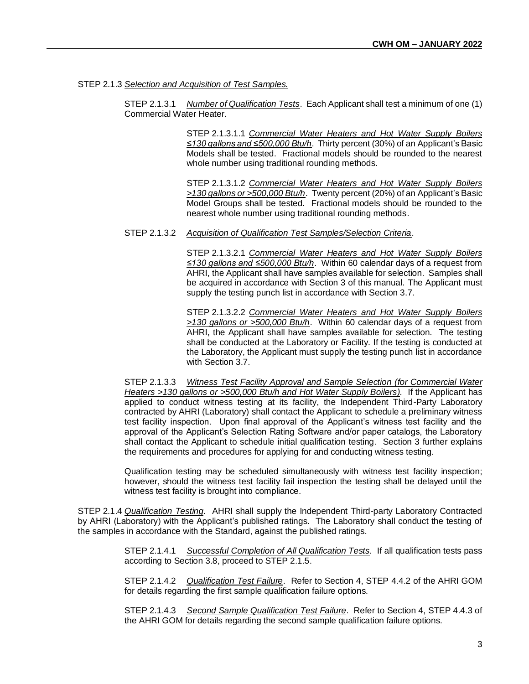#### STEP 2.1.3 *Selection and Acquisition of Test Samples.*

STEP 2.1.3.1 *Number of Qualification Tests*. Each Applicant shall test a minimum of one (1) Commercial Water Heater.

> STEP 2.1.3.1.1 *Commercial Water Heaters and Hot Water Supply Boilers ≤130 gallons and ≤500,000 Btu/h*. Thirty percent (30%) of an Applicant's Basic Models shall be tested. Fractional models should be rounded to the nearest whole number using traditional rounding methods.

> STEP 2.1.3.1.2 *Commercial Water Heaters and Hot Water Supply Boilers >130 gallons or >500,000 Btu/h*. Twenty percent (20%) of an Applicant's Basic Model Groups shall be tested. Fractional models should be rounded to the nearest whole number using traditional rounding methods.

#### STEP 2.1.3.2 *Acquisition of Qualification Test Samples/Selection Criteria*.

STEP 2.1.3.2.1 *Commercial Water Heaters and Hot Water Supply Boilers ≤130 gallons and ≤500,000 Btu/h*. Within 60 calendar days of a request from AHRI, the Applicant shall have samples available for selection. Samples shall be acquired in accordance with Section 3 of this manual. The Applicant must supply the testing punch list in accordance with Section 3.7.

STEP 2.1.3.2.2 *Commercial Water Heaters and Hot Water Supply Boilers >130 gallons or >500,000 Btu/h*. Within 60 calendar days of a request from AHRI, the Applicant shall have samples available for selection. The testing shall be conducted at the Laboratory or Facility. If the testing is conducted at the Laboratory, the Applicant must supply the testing punch list in accordance with Section 3.7.

STEP 2.1.3.3 *Witness Test Facility Approval and Sample Selection (for Commercial Water Heaters >130 gallons or >500,000 Btu/h and Hot Water Supply Boilers).* If the Applicant has applied to conduct witness testing at its facility, the Independent Third-Party Laboratory contracted by AHRI (Laboratory) shall contact the Applicant to schedule a preliminary witness test facility inspection. Upon final approval of the Applicant's witness test facility and the approval of the Applicant's Selection Rating Software and/or paper catalogs, the Laboratory shall contact the Applicant to schedule initial qualification testing. Section 3 further explains the requirements and procedures for applying for and conducting witness testing.

Qualification testing may be scheduled simultaneously with witness test facility inspection; however, should the witness test facility fail inspection the testing shall be delayed until the witness test facility is brought into compliance.

STEP 2.1.4 *Qualification Testing*. AHRI shall supply the Independent Third-party Laboratory Contracted by AHRI (Laboratory) with the Applicant's published ratings. The Laboratory shall conduct the testing of the samples in accordance with the Standard, against the published ratings.

> STEP 2.1.4.1 *Successful Completion of All Qualification Tests.* If all qualification tests pass according to Section 3.8, proceed to STEP 2.1.5.

> STEP 2.1.4.2 *Qualification Test Failure*. Refer to Section 4, STEP 4.4.2 of the AHRI GOM for details regarding the first sample qualification failure options.

> STEP 2.1.4.3 *Second Sample Qualification Test Failure*. Refer to Section 4, STEP 4.4.3 of the AHRI GOM for details regarding the second sample qualification failure options.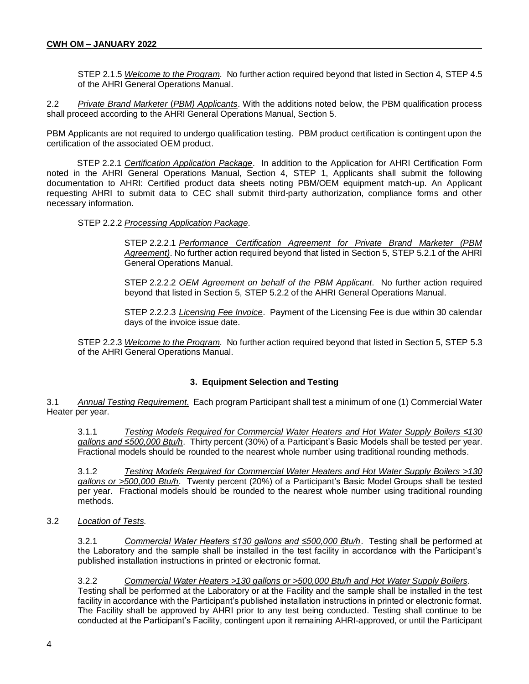STEP 2.1.5 *Welcome to the Program*. No further action required beyond that listed in Section 4, STEP 4.5 of the AHRI General Operations Manual.

2.2 *Private Brand Marketer* (*PBM) Applicants*. With the additions noted below, the PBM qualification process shall proceed according to the AHRI General Operations Manual, Section 5.

PBM Applicants are not required to undergo qualification testing. PBM product certification is contingent upon the certification of the associated OEM product.

STEP 2.2.1 *Certification Application Package*. In addition to the Application for AHRI Certification Form noted in the AHRI General Operations Manual, Section 4, STEP 1, Applicants shall submit the following documentation to AHRI: Certified product data sheets noting PBM/OEM equipment match-up. An Applicant requesting AHRI to submit data to CEC shall submit third-party authorization, compliance forms and other necessary information.

#### STEP 2.2.2 *Processing Application Package*.

STEP 2.2.2.1 *Performance Certification Agreement for Private Brand Marketer (PBM Agreement)*. No further action required beyond that listed in Section 5, STEP 5.2.1 of the AHRI General Operations Manual.

STEP 2.2.2.2 *OEM Agreement on behalf of the PBM Applicant*. No further action required beyond that listed in Section 5, STEP 5.2.2 of the AHRI General Operations Manual.

STEP 2.2.2.3 *Licensing Fee Invoice*. Payment of the Licensing Fee is due within 30 calendar days of the invoice issue date.

STEP 2.2.3 *Welcome to the Program*. No further action required beyond that listed in Section 5, STEP 5.3 of the AHRI General Operations Manual.

#### **3. Equipment Selection and Testing**

3.1 *Annual Testing Requirement.* Each program Participant shall test a minimum of one (1) Commercial Water Heater per year.

3.1.1 *Testing Models Required for Commercial Water Heaters and Hot Water Supply Boilers ≤130 gallons and ≤500,000 Btu/h*. Thirty percent (30%) of a Participant's Basic Models shall be tested per year. Fractional models should be rounded to the nearest whole number using traditional rounding methods.

3.1.2 *Testing Models Required for Commercial Water Heaters and Hot Water Supply Boilers >130 gallons or >500,000 Btu/h*. Twenty percent (20%) of a Participant's Basic Model Groups shall be tested per year. Fractional models should be rounded to the nearest whole number using traditional rounding methods.

3.2 *Location of Tests*.

3.2.1 *Commercial Water Heaters ≤130 gallons and ≤500,000 Btu/h*. Testing shall be performed at the Laboratory and the sample shall be installed in the test facility in accordance with the Participant's published installation instructions in printed or electronic format.

3.2.2 *Commercial Water Heaters >130 gallons or >500,000 Btu/h and Hot Water Supply Boilers*. Testing shall be performed at the Laboratory or at the Facility and the sample shall be installed in the test facility in accordance with the Participant's published installation instructions in printed or electronic format. The Facility shall be approved by AHRI prior to any test being conducted. Testing shall continue to be conducted at the Participant's Facility, contingent upon it remaining AHRI-approved, or until the Participant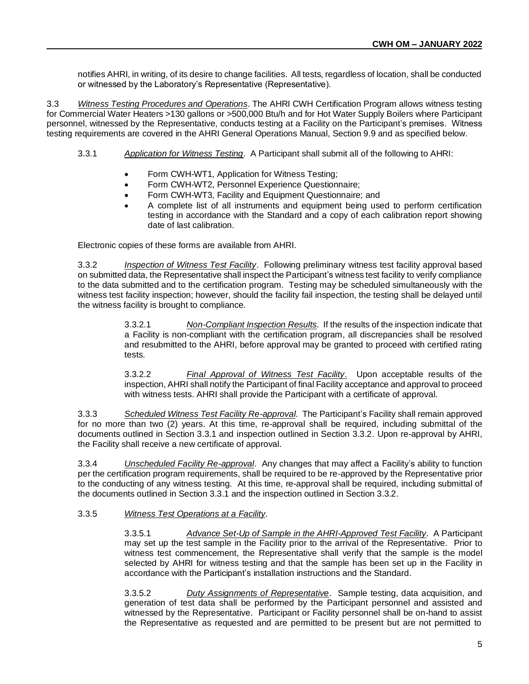notifies AHRI, in writing, of its desire to change facilities. All tests, regardless of location, shall be conducted or witnessed by the Laboratory's Representative (Representative).

3.3 *Witness Testing Procedures and Operations*. The AHRI CWH Certification Program allows witness testing for Commercial Water Heaters >130 gallons or >500,000 Btu/h and for Hot Water Supply Boilers where Participant personnel, witnessed by the Representative, conducts testing at a Facility on the Participant's premises. Witness testing requirements are covered in the AHRI General Operations Manual, Section 9.9 and as specified below.

- 3.3.1 *Application for Witness Testing*. A Participant shall submit all of the following to AHRI:
	- Form CWH-WT1, Application for Witness Testing;
	- Form CWH-WT2, Personnel Experience Questionnaire;
	- Form CWH-WT3, Facility and Equipment Questionnaire; and
	- A complete list of all instruments and equipment being used to perform certification testing in accordance with the Standard and a copy of each calibration report showing date of last calibration.

Electronic copies of these forms are available from AHRI.

3.3.2 *Inspection of Witness Test Facility*. Following preliminary witness test facility approval based on submitted data, the Representative shall inspect the Participant's witness test facility to verify compliance to the data submitted and to the certification program. Testing may be scheduled simultaneously with the witness test facility inspection; however, should the facility fail inspection, the testing shall be delayed until the witness facility is brought to compliance.

> 3.3.2.1 *Non-Compliant Inspection Results*. If the results of the inspection indicate that a Facility is non-compliant with the certification program, all discrepancies shall be resolved and resubmitted to the AHRI, before approval may be granted to proceed with certified rating tests.

> 3.3.2.2 *Final Approval of Witness Test Facility*. Upon acceptable results of the inspection, AHRI shall notify the Participant of final Facility acceptance and approval to proceed with witness tests. AHRI shall provide the Participant with a certificate of approval.

3.3.3 *Scheduled Witness Test Facility Re-approval*. The Participant's Facility shall remain approved for no more than two (2) years. At this time, re-approval shall be required, including submittal of the documents outlined in Section 3.3.1 and inspection outlined in Section 3.3.2. Upon re-approval by AHRI, the Facility shall receive a new certificate of approval.

3.3.4 *Unscheduled Facility Re-approval*. Any changes that may affect a Facility's ability to function per the certification program requirements, shall be required to be re-approved by the Representative prior to the conducting of any witness testing. At this time, re-approval shall be required, including submittal of the documents outlined in Section 3.3.1 and the inspection outlined in Section 3.3.2.

#### 3.3.5 *Witness Test Operations at a Facility*.

3.3.5.1 *Advance Set-Up of Sample in the AHRI-Approved Test Facility*. A Participant may set up the test sample in the Facility prior to the arrival of the Representative. Prior to witness test commencement, the Representative shall verify that the sample is the model selected by AHRI for witness testing and that the sample has been set up in the Facility in accordance with the Participant's installation instructions and the Standard.

3.3.5.2 *Duty Assignments of Representative*. Sample testing, data acquisition, and generation of test data shall be performed by the Participant personnel and assisted and witnessed by the Representative. Participant or Facility personnel shall be on-hand to assist the Representative as requested and are permitted to be present but are not permitted to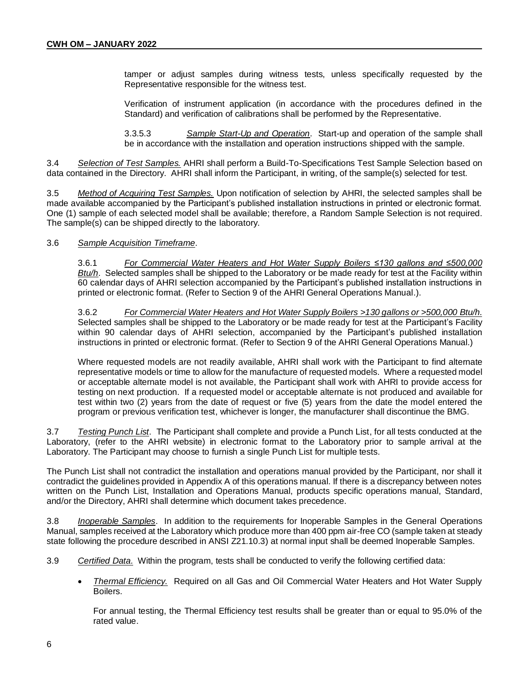tamper or adjust samples during witness tests, unless specifically requested by the Representative responsible for the witness test.

Verification of instrument application (in accordance with the procedures defined in the Standard) and verification of calibrations shall be performed by the Representative.

3.3.5.3 *Sample Start-Up and Operation*. Start-up and operation of the sample shall be in accordance with the installation and operation instructions shipped with the sample.

3.4 *Selection of Test Samples.* AHRI shall perform a Build-To-Specifications Test Sample Selection based on data contained in the Directory. AHRI shall inform the Participant, in writing, of the sample(s) selected for test.

3.5 *Method of Acquiring Test Samples.* Upon notification of selection by AHRI, the selected samples shall be made available accompanied by the Participant's published installation instructions in printed or electronic format. One (1) sample of each selected model shall be available; therefore, a Random Sample Selection is not required. The sample(s) can be shipped directly to the laboratory.

#### 3.6 *Sample Acquisition Timeframe*.

3.6.1 *For Commercial Water Heaters and Hot Water Supply Boilers ≤130 gallons and ≤500,000 Btu/h*. Selected samples shall be shipped to the Laboratory or be made ready for test at the Facility within 60 calendar days of AHRI selection accompanied by the Participant's published installation instructions in printed or electronic format. (Refer to Section 9 of the AHRI General Operations Manual.).

3.6.2 *For Commercial Water Heaters and Hot Water Supply Boilers >130 gallons or >500,000 Btu/h.* Selected samples shall be shipped to the Laboratory or be made ready for test at the Participant's Facility within 90 calendar days of AHRI selection, accompanied by the Participant's published installation instructions in printed or electronic format. (Refer to Section 9 of the AHRI General Operations Manual.)

Where requested models are not readily available, AHRI shall work with the Participant to find alternate representative models or time to allow for the manufacture of requested models. Where a requested model or acceptable alternate model is not available, the Participant shall work with AHRI to provide access for testing on next production. If a requested model or acceptable alternate is not produced and available for test within two (2) years from the date of request or five (5) years from the date the model entered the program or previous verification test, whichever is longer, the manufacturer shall discontinue the BMG.

3.7 *Testing Punch List*. The Participant shall complete and provide a Punch List, for all tests conducted at the Laboratory, (refer to the AHRI website) in electronic format to the Laboratory prior to sample arrival at the Laboratory. The Participant may choose to furnish a single Punch List for multiple tests.

The Punch List shall not contradict the installation and operations manual provided by the Participant, nor shall it contradict the guidelines provided in Appendix A of this operations manual. If there is a discrepancy between notes written on the Punch List, Installation and Operations Manual, products specific operations manual, Standard, and/or the Directory, AHRI shall determine which document takes precedence.

3.8 *Inoperable Samples*. In addition to the requirements for Inoperable Samples in the General Operations Manual, samples received at the Laboratory which produce more than 400 ppm air-free CO (sample taken at steady state following the procedure described in ANSI Z21.10.3) at normal input shall be deemed Inoperable Samples.

- 3.9 *Certified Data.* Within the program, tests shall be conducted to verify the following certified data:
	- *Thermal Efficiency.* Required on all Gas and Oil Commercial Water Heaters and Hot Water Supply Boilers.

For annual testing, the Thermal Efficiency test results shall be greater than or equal to 95.0% of the rated value.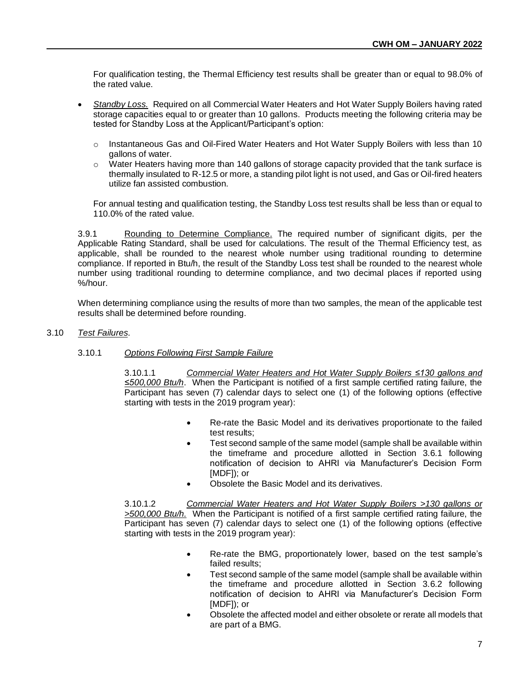For qualification testing, the Thermal Efficiency test results shall be greater than or equal to 98.0% of the rated value.

- *Standby Loss.* Required on all Commercial Water Heaters and Hot Water Supply Boilers having rated storage capacities equal to or greater than 10 gallons. Products meeting the following criteria may be tested for Standby Loss at the Applicant/Participant's option:
	- $\circ$  Instantaneous Gas and Oil-Fired Water Heaters and Hot Water Supply Boilers with less than 10 gallons of water.
	- $\circ$  Water Heaters having more than 140 gallons of storage capacity provided that the tank surface is thermally insulated to R-12.5 or more, a standing pilot light is not used, and Gas or Oil-fired heaters utilize fan assisted combustion.

For annual testing and qualification testing, the Standby Loss test results shall be less than or equal to 110.0% of the rated value.

3.9.1 Rounding to Determine Compliance. The required number of significant digits, per the Applicable Rating Standard, shall be used for calculations. The result of the Thermal Efficiency test, as applicable, shall be rounded to the nearest whole number using traditional rounding to determine compliance. If reported in Btu/h, the result of the Standby Loss test shall be rounded to the nearest whole number using traditional rounding to determine compliance, and two decimal places if reported using %/hour.

When determining compliance using the results of more than two samples, the mean of the applicable test results shall be determined before rounding.

#### 3.10 *Test Failures*.

#### 3.10.1 *Options Following First Sample Failure*

3.10.1.1 *Commercial Water Heaters and Hot Water Supply Boilers ≤130 gallons and ≤500,000 Btu/h*. When the Participant is notified of a first sample certified rating failure, the Participant has seven (7) calendar days to select one (1) of the following options (effective starting with tests in the 2019 program year):

- Re-rate the Basic Model and its derivatives proportionate to the failed test results;
- Test second sample of the same model (sample shall be available within the timeframe and procedure allotted in Section 3.6.1 following notification of decision to AHRI via Manufacturer's Decision Form [MDF]); or
- Obsolete the Basic Model and its derivatives.

3.10.1.2 *Commercial Water Heaters and Hot Water Supply Boilers >130 gallons or >500,000 Btu/h.* When the Participant is notified of a first sample certified rating failure, the Participant has seven (7) calendar days to select one (1) of the following options (effective starting with tests in the 2019 program year):

- Re-rate the BMG, proportionately lower, based on the test sample's failed results;
- Test second sample of the same model (sample shall be available within the timeframe and procedure allotted in Section 3.6.2 following notification of decision to AHRI via Manufacturer's Decision Form [MDF]); or
- Obsolete the affected model and either obsolete or rerate all models that are part of a BMG.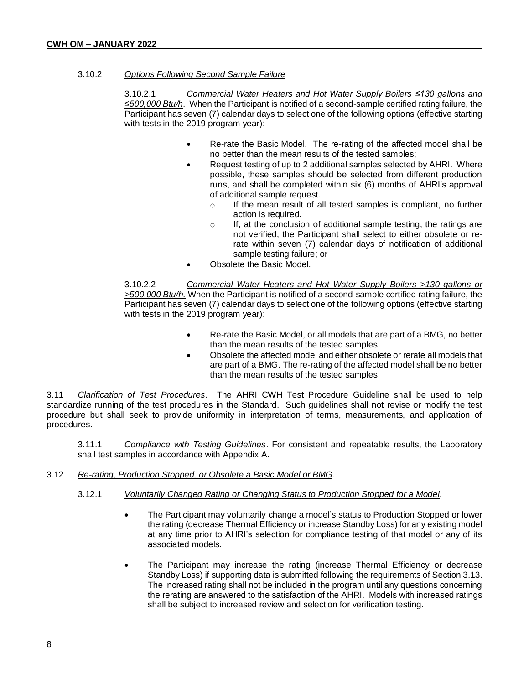#### 3.10.2 *Options Following Second Sample Failure*

3.10.2.1 *Commercial Water Heaters and Hot Water Supply Boilers ≤130 gallons and ≤500,000 Btu/h*. When the Participant is notified of a second-sample certified rating failure, the Participant has seven (7) calendar days to select one of the following options (effective starting with tests in the 2019 program year):

- Re-rate the Basic Model. The re-rating of the affected model shall be no better than the mean results of the tested samples;
- Request testing of up to 2 additional samples selected by AHRI. Where possible, these samples should be selected from different production runs, and shall be completed within six (6) months of AHRI's approval of additional sample request.
	- o If the mean result of all tested samples is compliant, no further action is required.
	- $\circ$  If, at the conclusion of additional sample testing, the ratings are not verified, the Participant shall select to either obsolete or rerate within seven (7) calendar days of notification of additional sample testing failure; or
- Obsolete the Basic Model.

3.10.2.2 *Commercial Water Heaters and Hot Water Supply Boilers >130 gallons or >500,000 Btu/h.* When the Participant is notified of a second-sample certified rating failure, the Participant has seven (7) calendar days to select one of the following options (effective starting with tests in the 2019 program year):

- Re-rate the Basic Model, or all models that are part of a BMG, no better than the mean results of the tested samples.
- Obsolete the affected model and either obsolete or rerate all models that are part of a BMG. The re-rating of the affected model shall be no better than the mean results of the tested samples

3.11 *Clarification of Test Procedures.* The AHRI CWH Test Procedure Guideline shall be used to help standardize running of the test procedures in the Standard. Such guidelines shall not revise or modify the test procedure but shall seek to provide uniformity in interpretation of terms, measurements, and application of procedures.

3.11.1 *Compliance with Testing Guidelines*. For consistent and repeatable results, the Laboratory shall test samples in accordance with Appendix A.

#### 3.12 *Re-rating, Production Stopped, or Obsolete a Basic Model or BMG.*

#### 3.12.1 *Voluntarily Changed Rating or Changing Status to Production Stopped for a Model.*

- The Participant may voluntarily change a model's status to Production Stopped or lower the rating (decrease Thermal Efficiency or increase Standby Loss) for any existing model at any time prior to AHRI's selection for compliance testing of that model or any of its associated models.
- The Participant may increase the rating (increase Thermal Efficiency or decrease Standby Loss) if supporting data is submitted following the requirements of Section 3.13. The increased rating shall not be included in the program until any questions concerning the rerating are answered to the satisfaction of the AHRI. Models with increased ratings shall be subject to increased review and selection for verification testing.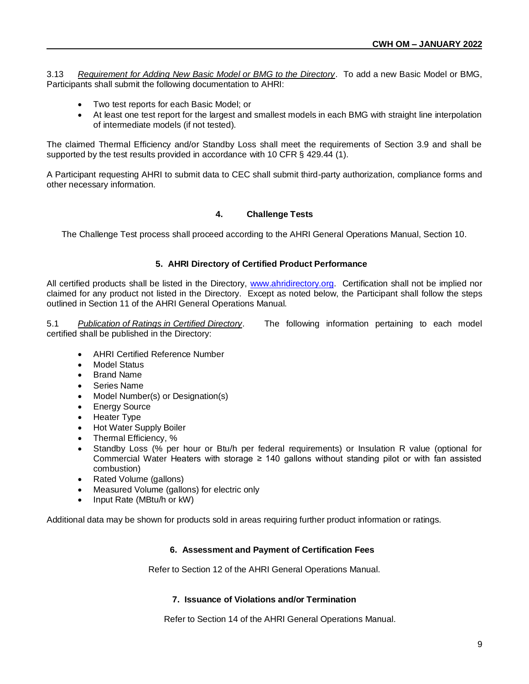3.13 *Requirement for Adding New Basic Model or BMG to the Directory*. To add a new Basic Model or BMG, Participants shall submit the following documentation to AHRI:

- Two test reports for each Basic Model; or
- At least one test report for the largest and smallest models in each BMG with straight line interpolation of intermediate models (if not tested).

The claimed Thermal Efficiency and/or Standby Loss shall meet the requirements of Section 3.9 and shall be supported by the test results provided in accordance with 10 CFR § 429.44 (1).

A Participant requesting AHRI to submit data to CEC shall submit third-party authorization, compliance forms and other necessary information.

#### **4. Challenge Tests**

The Challenge Test process shall proceed according to the AHRI General Operations Manual, Section 10.

#### **5. AHRI Directory of Certified Product Performance**

All certified products shall be listed in the Directory, [www.ahridirectory.org.](http://www.ahridirectory.org/) Certification shall not be implied nor claimed for any product not listed in the Directory. Except as noted below, the Participant shall follow the steps outlined in Section 11 of the AHRI General Operations Manual.

5.1 *Publication of Ratings in Certified Directory*. The following information pertaining to each model certified shall be published in the Directory:

- AHRI Certified Reference Number
- Model Status
- Brand Name
- Series Name
- Model Number(s) or Designation(s)
- Energy Source
- Heater Type
- Hot Water Supply Boiler
- Thermal Efficiency, %
- Standby Loss (% per hour or Btu/h per federal requirements) or Insulation R value (optional for Commercial Water Heaters with storage ≥ 140 gallons without standing pilot or with fan assisted combustion)
- Rated Volume (gallons)
- Measured Volume (gallons) for electric only
- Input Rate (MBtu/h or kW)

Additional data may be shown for products sold in areas requiring further product information or ratings.

#### **6. Assessment and Payment of Certification Fees**

Refer to Section 12 of the AHRI General Operations Manual.

#### **7. Issuance of Violations and/or Termination**

Refer to Section 14 of the AHRI General Operations Manual.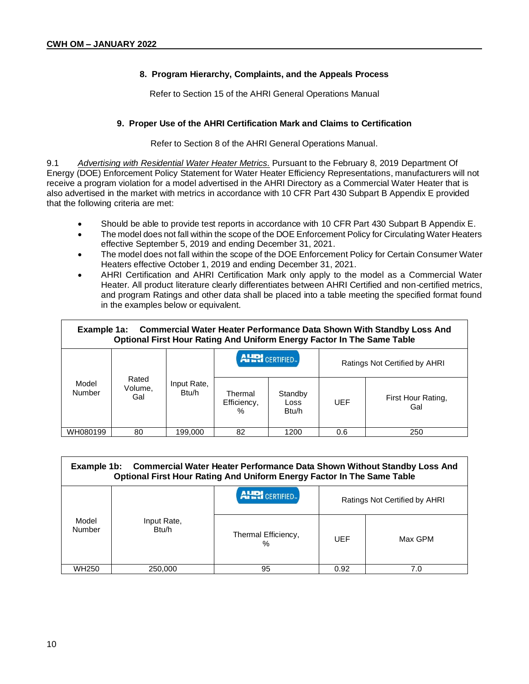#### **8. Program Hierarchy, Complaints, and the Appeals Process**

Refer to Section 15 of the AHRI General Operations Manual

#### **9. Proper Use of the AHRI Certification Mark and Claims to Certification**

Refer to Section 8 of the AHRI General Operations Manual.

9.1 *Advertising with Residential Water Heater Metrics.* Pursuant to the February 8, 2019 Department Of Energy (DOE) Enforcement Policy Statement for Water Heater Efficiency Representations, manufacturers will not receive a program violation for a model advertised in the AHRI Directory as a Commercial Water Heater that is also advertised in the market with metrics in accordance with 10 CFR Part 430 Subpart B Appendix E provided that the following criteria are met:

- Should be able to provide test reports in accordance with 10 CFR Part 430 Subpart B Appendix E.
- The model does not fall within the scope of the DOE Enforcement Policy for Circulating Water Heaters effective September 5, 2019 and ending December 31, 2021.
- The model does not fall within the scope of the DOE Enforcement Policy for Certain Consumer Water Heaters effective October 1, 2019 and ending December 31, 2021.
- AHRI Certification and AHRI Certification Mark only apply to the model as a Commercial Water Heater. All product literature clearly differentiates between AHRI Certified and non-certified metrics, and program Ratings and other data shall be placed into a table meeting the specified format found in the examples below or equivalent.

| <b>Commercial Water Heater Performance Data Shown With Standby Loss And</b><br>Example 1a:<br>Optional First Hour Rating And Uniform Energy Factor In The Same Table |                         |                      |                                |                                       |                               |                           |
|----------------------------------------------------------------------------------------------------------------------------------------------------------------------|-------------------------|----------------------|--------------------------------|---------------------------------------|-------------------------------|---------------------------|
|                                                                                                                                                                      |                         |                      | <b>AHRI</b> CERTIFIED.         |                                       | Ratings Not Certified by AHRI |                           |
| Model<br><b>Number</b>                                                                                                                                               | Rated<br>Volume,<br>Gal | Input Rate,<br>Btu/h | Thermal<br>Efficiency,<br>$\%$ | Standby<br>Loss<br>B <sub>tu</sub> /h | UEF                           | First Hour Rating,<br>Gal |
| WH080199                                                                                                                                                             | 80                      | 199.000              | 82                             | 1200                                  | 0.6                           | 250                       |

| <b>Commercial Water Heater Performance Data Shown Without Standby Loss And</b><br>Example 1b:<br><b>Optional First Hour Rating And Uniform Energy Factor In The Same Table</b> |                      |                          |                               |         |
|--------------------------------------------------------------------------------------------------------------------------------------------------------------------------------|----------------------|--------------------------|-------------------------------|---------|
|                                                                                                                                                                                |                      | <b>AHRI</b> CERTIFIED.   | Ratings Not Certified by AHRI |         |
| Model<br>Number                                                                                                                                                                | Input Rate,<br>Btu/h | Thermal Efficiency,<br>% | UEF                           | Max GPM |
| WH250                                                                                                                                                                          | 250,000              | 95                       | 0.92                          | 7.0     |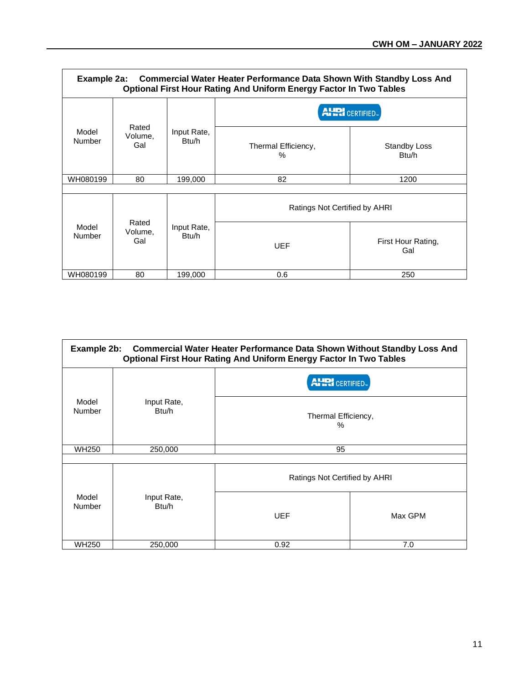| Example 2a: Commercial Water Heater Performance Data Shown With Standby Loss And<br><b>Optional First Hour Rating And Uniform Energy Factor In Two Tables</b> |                         |                      |                               |                           |  |
|---------------------------------------------------------------------------------------------------------------------------------------------------------------|-------------------------|----------------------|-------------------------------|---------------------------|--|
|                                                                                                                                                               |                         |                      | <b>AHRI</b> CERTIFIED         |                           |  |
| Model<br>Number                                                                                                                                               | Rated<br>Volume,<br>Gal | Input Rate,<br>Btu/h | Thermal Efficiency,<br>$\%$   | Standby Loss<br>Btu/h     |  |
| WH080199                                                                                                                                                      | 80                      | 199,000              | 82                            | 1200                      |  |
|                                                                                                                                                               |                         |                      | Ratings Not Certified by AHRI |                           |  |
| Model<br>Number                                                                                                                                               | Rated<br>Volume,<br>Gal | Input Rate,<br>Btu/h | <b>UEF</b>                    | First Hour Rating,<br>Gal |  |
| WH080199                                                                                                                                                      | 80                      | 199,000              | 0.6                           | 250                       |  |

| <b>Commercial Water Heater Performance Data Shown Without Standby Loss And</b><br>Example 2b:<br><b>Optional First Hour Rating And Uniform Energy Factor In Two Tables</b> |                      |                               |         |  |
|----------------------------------------------------------------------------------------------------------------------------------------------------------------------------|----------------------|-------------------------------|---------|--|
|                                                                                                                                                                            |                      | <b>AHRI</b> CERTIFIED.        |         |  |
| Model<br>Number                                                                                                                                                            | Input Rate,<br>Btu/h | Thermal Efficiency,<br>$\%$   |         |  |
| <b>WH250</b>                                                                                                                                                               | 250,000              | 95                            |         |  |
|                                                                                                                                                                            |                      |                               |         |  |
|                                                                                                                                                                            |                      | Ratings Not Certified by AHRI |         |  |
| Model<br>Number                                                                                                                                                            | Input Rate,<br>Btu/h | <b>UEF</b>                    | Max GPM |  |
| <b>WH250</b>                                                                                                                                                               | 250,000              | 0.92                          | 7.0     |  |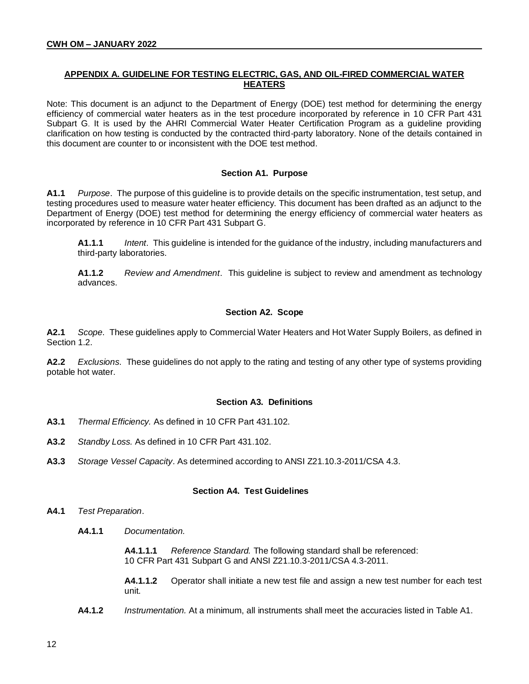#### **APPENDIX A. GUIDELINE FOR TESTING ELECTRIC, GAS, AND OIL-FIRED COMMERCIAL WATER HEATERS**

Note: This document is an adjunct to the Department of Energy (DOE) test method for determining the energy efficiency of commercial water heaters as in the test procedure incorporated by reference in 10 CFR Part 431 Subpart G. It is used by the AHRI Commercial Water Heater Certification Program as a guideline providing clarification on how testing is conducted by the contracted third-party laboratory. None of the details contained in this document are counter to or inconsistent with the DOE test method.

#### **Section A1. Purpose**

**A1.1** *Purpose*. The purpose of this guideline is to provide details on the specific instrumentation, test setup, and testing procedures used to measure water heater efficiency. This document has been drafted as an adjunct to the Department of Energy (DOE) test method for determining the energy efficiency of commercial water heaters as incorporated by reference in 10 CFR Part 431 Subpart G.

**A1.1.1** *Intent*. This guideline is intended for the guidance of the industry, including manufacturers and third-party laboratories.

**A1.1.2** *Review and Amendment*. This guideline is subject to review and amendment as technology advances.

#### **Section A2. Scope**

**A2.1** *Scope*. These guidelines apply to Commercial Water Heaters and Hot Water Supply Boilers, as defined in Section 1.2.

**A2.2** *Exclusions*. These guidelines do not apply to the rating and testing of any other type of systems providing potable hot water.

#### **Section A3. Definitions**

- **A3.1** *Thermal Efficiency.* As defined in 10 CFR Part 431.102.
- **A3.2** *Standby Loss.* As defined in 10 CFR Part 431.102.
- **A3.3** *Storage Vessel Capacity*. As determined according to ANSI Z21.10.3-2011/CSA 4.3.

#### **Section A4. Test Guidelines**

- **A4.1** *Test Preparation*.
	- **A4.1.1** *Documentation.*

**A4.1.1.1** *Reference Standard.* The following standard shall be referenced: 10 CFR Part 431 Subpart G and ANSI Z21.10.3-2011/CSA 4.3-2011.

**A4.1.1.2** Operator shall initiate a new test file and assign a new test number for each test unit.

**A4.1.2** *Instrumentation.* At a minimum, all instruments shall meet the accuracies listed in Table A1.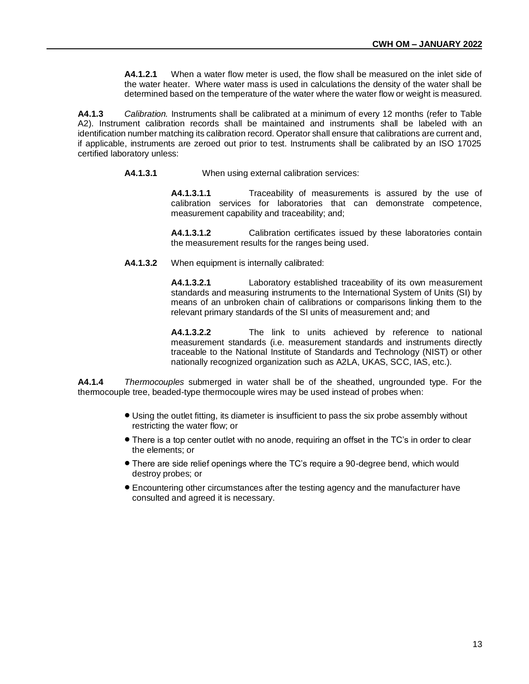**A4.1.2.1** When a water flow meter is used, the flow shall be measured on the inlet side of the water heater. Where water mass is used in calculations the density of the water shall be determined based on the temperature of the water where the water flow or weight is measured.

**A4.1.3** *Calibration.* Instruments shall be calibrated at a minimum of every 12 months (refer to Table A2). Instrument calibration records shall be maintained and instruments shall be labeled with an identification number matching its calibration record. Operator shall ensure that calibrations are current and, if applicable, instruments are zeroed out prior to test. Instruments shall be calibrated by an ISO 17025 certified laboratory unless:

**A4.1.3.1** When using external calibration services:

**A4.1.3.1.1** Traceability of measurements is assured by the use of calibration services for laboratories that can demonstrate competence, measurement capability and traceability; and;

**A4.1.3.1.2** Calibration certificates issued by these laboratories contain the measurement results for the ranges being used.

**A4.1.3.2** When equipment is internally calibrated:

**A4.1.3.2.1** Laboratory established traceability of its own measurement standards and measuring instruments to the International System of Units (SI) by means of an unbroken chain of calibrations or comparisons linking them to the relevant primary standards of the SI units of measurement and; and

**A4.1.3.2.2** The link to units achieved by reference to national measurement standards (i.e. measurement standards and instruments directly traceable to the National Institute of Standards and Technology (NIST) or other nationally recognized organization such as A2LA, UKAS, SCC, IAS, etc.).

**A4.1.4** *Thermocouples* submerged in water shall be of the sheathed, ungrounded type. For the thermocouple tree, beaded-type thermocouple wires may be used instead of probes when:

- Using the outlet fitting, its diameter is insufficient to pass the six probe assembly without restricting the water flow; or
- There is a top center outlet with no anode, requiring an offset in the TC's in order to clear the elements; or
- There are side relief openings where the TC's require a 90-degree bend, which would destroy probes; or
- Encountering other circumstances after the testing agency and the manufacturer have consulted and agreed it is necessary.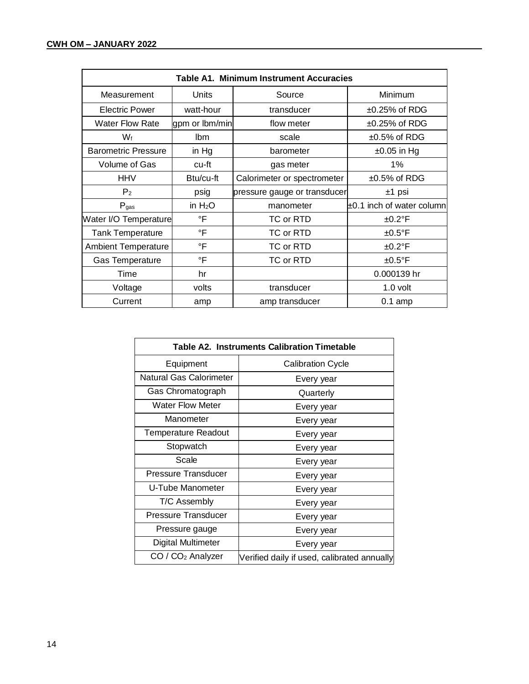| <b>Table A1. Minimum Instrument Accuracies</b> |                |                              |                                |  |
|------------------------------------------------|----------------|------------------------------|--------------------------------|--|
| Measurement                                    | <b>Units</b>   | Source                       | Minimum                        |  |
| <b>Electric Power</b>                          | watt-hour      | transducer                   | $±0.25\%$ of RDG               |  |
| <b>Water Flow Rate</b>                         | gpm or lbm/min | flow meter                   | $\pm 0.25\%$ of RDG            |  |
| Wf                                             | lbm            | scale                        | $±0.5%$ of RDG                 |  |
| <b>Barometric Pressure</b>                     | in $Hg$        | barometer                    | $\pm 0.05$ in Hg               |  |
| Volume of Gas                                  | cu-ft          | gas meter                    | $1\%$                          |  |
| <b>HHV</b>                                     | Btu/cu-ft      | Calorimeter or spectrometer  | $±0.5\%$ of RDG                |  |
| P <sub>2</sub>                                 | psig           | pressure gauge or transducer | $±1$ psi                       |  |
| $P_{gas}$                                      | in $H_2O$      | manometer                    | $\pm 0.1$ inch of water column |  |
| Water I/O Temperature                          | $\mathsf{P}$   | TC or RTD                    | $±0.2^{\circ}F$                |  |
| <b>Tank Temperature</b>                        | $\mathsf{P}$   | TC or RTD                    | $±0.5^{\circ}F$                |  |
| <b>Ambient Temperature</b>                     | $\circ$ F      | TC or RTD                    | $±0.2$ °F                      |  |
| <b>Gas Temperature</b>                         | $\mathsf{P}$   | TC or RTD                    | $±0.5^{\circ}$ F               |  |
| Time                                           | hr             |                              | 0.000139 hr                    |  |
| Voltage                                        | volts          | transducer                   | 1.0 volt                       |  |
| Current                                        | amp            | amp transducer               | $0.1$ amp                      |  |

| <b>Table A2. Instruments Calibration Timetable</b> |                                             |  |
|----------------------------------------------------|---------------------------------------------|--|
| Equipment                                          | <b>Calibration Cycle</b>                    |  |
| Natural Gas Calorimeter                            | Every year                                  |  |
| Gas Chromatograph                                  | Quarterly                                   |  |
| <b>Water Flow Meter</b>                            | Every year                                  |  |
| Manometer                                          | Every year                                  |  |
| <b>Temperature Readout</b>                         | Every year                                  |  |
| Stopwatch                                          | Every year                                  |  |
| Scale                                              | Every year                                  |  |
| <b>Pressure Transducer</b>                         | Every year                                  |  |
| U-Tube Manometer                                   | Every year                                  |  |
| T/C Assembly                                       | Every year                                  |  |
| Pressure Transducer                                | Every year                                  |  |
| Pressure gauge                                     | Every year                                  |  |
| Digital Multimeter                                 | Every year                                  |  |
| $CO / CO2$ Analyzer                                | Verified daily if used, calibrated annually |  |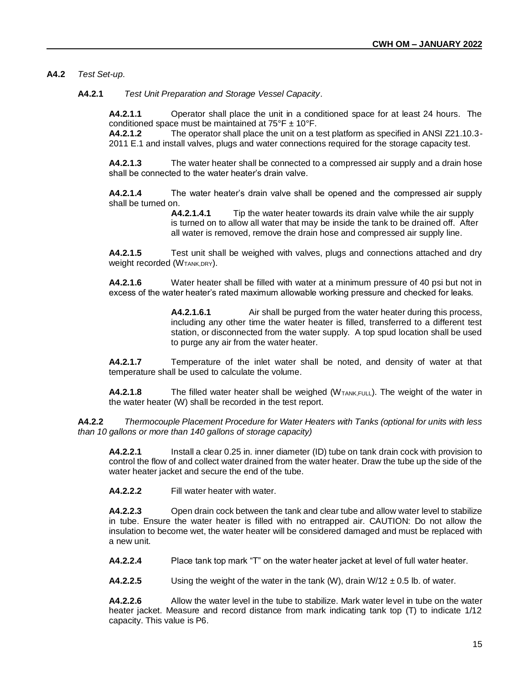#### **A4.2** *Test Set-up*.

**A4.2.1** *Test Unit Preparation and Storage Vessel Capacity*.

**A4.2.1.1** Operator shall place the unit in a conditioned space for at least 24 hours. The conditioned space must be maintained at  $75^{\circ}$ F  $\pm$  10°F.

**A4.2.1.2** The operator shall place the unit on a test platform as specified in ANSI Z21.10.3- 2011 E.1 and install valves, plugs and water connections required for the storage capacity test.

**A4.2.1.3** The water heater shall be connected to a compressed air supply and a drain hose shall be connected to the water heater's drain valve.

**A4.2.1.4** The water heater's drain valve shall be opened and the compressed air supply shall be turned on.

> **A4.2.1.4.1** Tip the water heater towards its drain valve while the air supply is turned on to allow all water that may be inside the tank to be drained off. After all water is removed, remove the drain hose and compressed air supply line.

**A4.2.1.5** Test unit shall be weighed with valves, plugs and connections attached and dry Weight recorded (W<sub>TANK,DRY</sub>).

**A4.2.1.6** Water heater shall be filled with water at a minimum pressure of 40 psi but not in excess of the water heater's rated maximum allowable working pressure and checked for leaks.

> **A4.2.1.6.1** Air shall be purged from the water heater during this process, including any other time the water heater is filled, transferred to a different test station, or disconnected from the water supply. A top spud location shall be used to purge any air from the water heater.

**A4.2.1.7** Temperature of the inlet water shall be noted, and density of water at that temperature shall be used to calculate the volume.

**A4.2.1.8** The filled water heater shall be weighed (W<sub>TANK,FULL</sub>). The weight of the water in the water heater (W) shall be recorded in the test report.

**A4.2.2** *Thermocouple Placement Procedure for Water Heaters with Tanks (optional for units with less than 10 gallons or more than 140 gallons of storage capacity)*

**A4.2.2.1** Install a clear 0.25 in. inner diameter (ID) tube on tank drain cock with provision to control the flow of and collect water drained from the water heater. Draw the tube up the side of the water heater jacket and secure the end of the tube.

**A4.2.2.2** Fill water heater with water.

**A4.2.2.3** Open drain cock between the tank and clear tube and allow water level to stabilize in tube. Ensure the water heater is filled with no entrapped air. CAUTION: Do not allow the insulation to become wet, the water heater will be considered damaged and must be replaced with a new unit.

**A4.2.2.4** Place tank top mark "T" on the water heater jacket at level of full water heater.

**A4.2.2.5** Using the weight of the water in the tank (W), drain  $W/12 \pm 0.5$  lb. of water.

**A4.2.2.6** Allow the water level in the tube to stabilize. Mark water level in tube on the water heater jacket. Measure and record distance from mark indicating tank top (T) to indicate 1/12 capacity. This value is P6.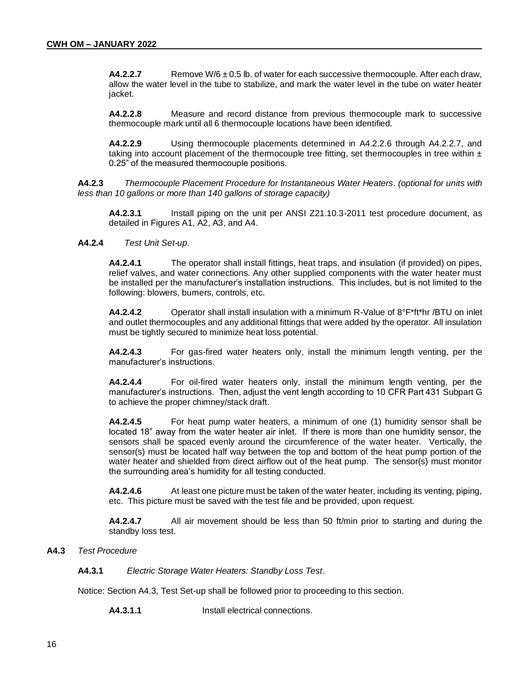**A4.2.2.7** Remove W/6  $\pm$  0.5 lb. of water for each successive thermocouple. After each draw, allow the water level in the tube to stabilize, and mark the water level in the tube on water heater jacket.

**A4.2.2.8** Measure and record distance from previous thermocouple mark to successive thermocouple mark until all 6 thermocouple locations have been identified.

**A4.2.2.9** Using thermocouple placements determined in A4.2.2.6 through A4.2.2.7, and taking into account placement of the thermocouple tree fitting, set thermocouples in tree within  $\pm$ 0.25" of the measured thermocouple positions.

**A4.2.3** *Thermocouple Placement Procedure for Instantaneous Water Heaters*. *(optional for units with less than 10 gallons or more than 140 gallons of storage capacity)*

**A4.2.3.1** Install piping on the unit per ANSI Z21.10.3-2011 test procedure document, as detailed in Figures A1, A2, A3, and A4.

#### **A4.2.4** *Test Unit Set-up*.

**A4.2.4.1** The operator shall install fittings, heat traps, and insulation (if provided) on pipes, relief valves, and water connections. Any other supplied components with the water heater must be installed per the manufacturer's installation instructions. This includes, but is not limited to the following: blowers, burners, controls, etc.

**A4.2.4.2** Operator shall install insulation with a minimum R-Value of 8°F\*ft\*hr /BTU on inlet and outlet thermocouples and any additional fittings that were added by the operator. All insulation must be tightly secured to minimize heat loss potential.

**A4.2.4.3** For gas-fired water heaters only, install the minimum length venting, per the manufacturer's instructions.

**A4.2.4.4** For oil-fired water heaters only, install the minimum length venting, per the manufacturer's instructions. Then, adjust the vent length according to 10 CFR Part 431 Subpart G to achieve the proper chimney/stack draft.

**A4.2.4.5** For heat pump water heaters, a minimum of one (1) humidity sensor shall be located 18" away from the water heater air inlet. If there is more than one humidity sensor, the sensors shall be spaced evenly around the circumference of the water heater. Vertically, the sensor(s) must be located half way between the top and bottom of the heat pump portion of the water heater and shielded from direct airflow out of the heat pump. The sensor(s) must monitor the surrounding area's humidity for all testing conducted.

**A4.2.4.6** At least one picture must be taken of the water heater, including its venting, piping, etc. This picture must be saved with the test file and be provided, upon request.

**A4.2.4.7** All air movement should be less than 50 ft/min prior to starting and during the standby loss test.

#### **A4.3** *Test Procedure*

**A4.3.1** *Electric Storage Water Heaters: Standby Loss Test*.

Notice: Section A4.3, Test Set-up shall be followed prior to proceeding to this section.

**A4.3.1.1** Install electrical connections.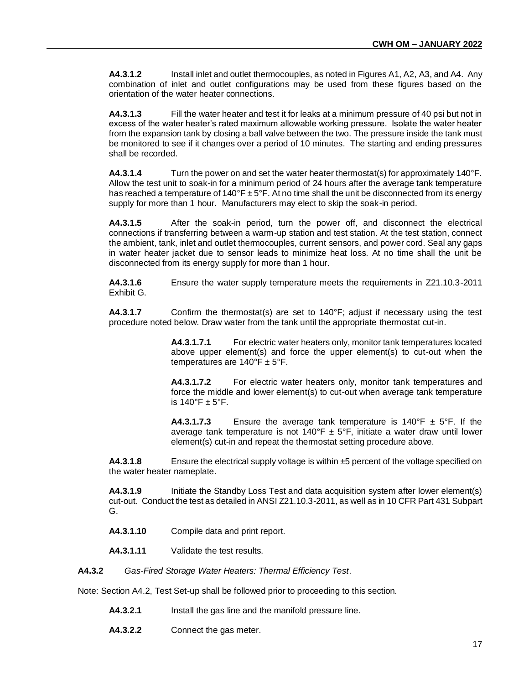**A4.3.1.2** Install inlet and outlet thermocouples, as noted in Figures A1, A2, A3, and A4. Any combination of inlet and outlet configurations may be used from these figures based on the orientation of the water heater connections.

**A4.3.1.3** Fill the water heater and test it for leaks at a minimum pressure of 40 psi but not in excess of the water heater's rated maximum allowable working pressure. Isolate the water heater from the expansion tank by closing a ball valve between the two. The pressure inside the tank must be monitored to see if it changes over a period of 10 minutes. The starting and ending pressures shall be recorded.

**A4.3.1.4** Turn the power on and set the water heater thermostat(s) for approximately 140°F. Allow the test unit to soak-in for a minimum period of 24 hours after the average tank temperature has reached a temperature of 140°F  $\pm$  5°F. At no time shall the unit be disconnected from its energy supply for more than 1 hour. Manufacturers may elect to skip the soak-in period.

**A4.3.1.5** After the soak-in period, turn the power off, and disconnect the electrical connections if transferring between a warm-up station and test station. At the test station, connect the ambient, tank, inlet and outlet thermocouples, current sensors, and power cord. Seal any gaps in water heater jacket due to sensor leads to minimize heat loss. At no time shall the unit be disconnected from its energy supply for more than 1 hour.

**A4.3.1.6** Ensure the water supply temperature meets the requirements in Z21.10.3-2011 Exhibit G.

**A4.3.1.7** Confirm the thermostat(s) are set to 140°F; adjust if necessary using the test procedure noted below. Draw water from the tank until the appropriate thermostat cut-in.

> **A4.3.1.7.1** For electric water heaters only, monitor tank temperatures located above upper element(s) and force the upper element(s) to cut-out when the temperatures are  $140^{\circ}$ F ± 5°F.

> **A4.3.1.7.2** For electric water heaters only, monitor tank temperatures and force the middle and lower element(s) to cut-out when average tank temperature is  $140^\circ$ F  $\pm$  5°F.

> **A4.3.1.7.3** Ensure the average tank temperature is  $140^{\circ}F \pm 5^{\circ}F$ . If the average tank temperature is not  $140^{\circ}F \pm 5^{\circ}F$ , initiate a water draw until lower element(s) cut-in and repeat the thermostat setting procedure above.

**A4.3.1.8** Ensure the electrical supply voltage is within ±5 percent of the voltage specified on the water heater nameplate.

**A4.3.1.9** Initiate the Standby Loss Test and data acquisition system after lower element(s) cut-out. Conduct the test as detailed in ANSI Z21.10.3-2011, as well as in 10 CFR Part 431 Subpart G.

- **A4.3.1.10** Compile data and print report.
- **A4.3.1.11** Validate the test results.

**A4.3.2** *Gas-Fired Storage Water Heaters: Thermal Efficiency Test*.

Note: Section A4.2, Test Set-up shall be followed prior to proceeding to this section.

- **A4.3.2.1** Install the gas line and the manifold pressure line.
- **A4.3.2.2** Connect the gas meter.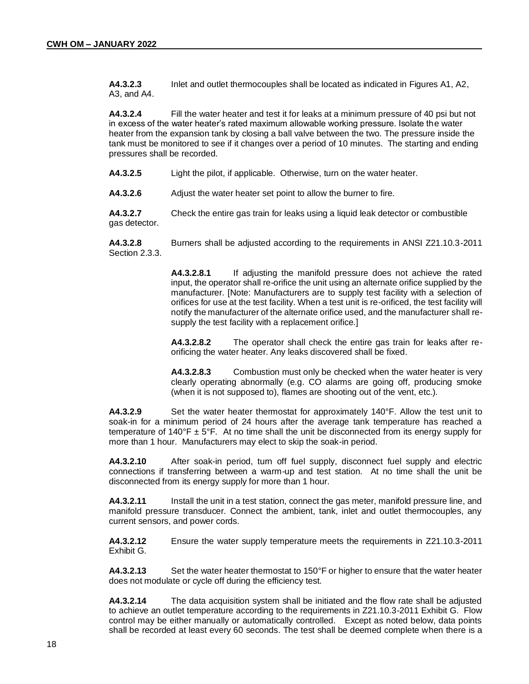**A4.3.2.3** Inlet and outlet thermocouples shall be located as indicated in Figures A1, A2, A3, and A4.

**A4.3.2.4** Fill the water heater and test it for leaks at a minimum pressure of 40 psi but not in excess of the water heater's rated maximum allowable working pressure. Isolate the water heater from the expansion tank by closing a ball valve between the two. The pressure inside the tank must be monitored to see if it changes over a period of 10 minutes. The starting and ending pressures shall be recorded.

**A4.3.2.5** Light the pilot, if applicable. Otherwise, turn on the water heater.

**A4.3.2.6** Adjust the water heater set point to allow the burner to fire.

**A4.3.2.7** Check the entire gas train for leaks using a liquid leak detector or combustible gas detector.

**A4.3.2.8** Burners shall be adjusted according to the requirements in ANSI Z21.10.3-2011 Section 2.3.3.

> **A4.3.2.8.1** If adjusting the manifold pressure does not achieve the rated input, the operator shall re-orifice the unit using an alternate orifice supplied by the manufacturer. [Note: Manufacturers are to supply test facility with a selection of orifices for use at the test facility. When a test unit is re-orificed, the test facility will notify the manufacturer of the alternate orifice used, and the manufacturer shall resupply the test facility with a replacement orifice.]

> **A4.3.2.8.2** The operator shall check the entire gas train for leaks after reorificing the water heater. Any leaks discovered shall be fixed.

> **A4.3.2.8.3** Combustion must only be checked when the water heater is very clearly operating abnormally (e.g. CO alarms are going off, producing smoke (when it is not supposed to), flames are shooting out of the vent, etc.).

**A4.3.2.9** Set the water heater thermostat for approximately 140°F. Allow the test unit to soak-in for a minimum period of 24 hours after the average tank temperature has reached a temperature of 140°F  $\pm$  5°F. At no time shall the unit be disconnected from its energy supply for more than 1 hour. Manufacturers may elect to skip the soak-in period.

**A4.3.2.10** After soak-in period, turn off fuel supply, disconnect fuel supply and electric connections if transferring between a warm-up and test station. At no time shall the unit be disconnected from its energy supply for more than 1 hour.

**A4.3.2.11** Install the unit in a test station, connect the gas meter, manifold pressure line, and manifold pressure transducer. Connect the ambient, tank, inlet and outlet thermocouples, any current sensors, and power cords.

**A4.3.2.12** Ensure the water supply temperature meets the requirements in Z21.10.3-2011 Exhibit G.

**A4.3.2.13** Set the water heater thermostat to 150°F or higher to ensure that the water heater does not modulate or cycle off during the efficiency test.

**A4.3.2.14** The data acquisition system shall be initiated and the flow rate shall be adjusted to achieve an outlet temperature according to the requirements in Z21.10.3-2011 Exhibit G. Flow control may be either manually or automatically controlled. Except as noted below, data points shall be recorded at least every 60 seconds. The test shall be deemed complete when there is a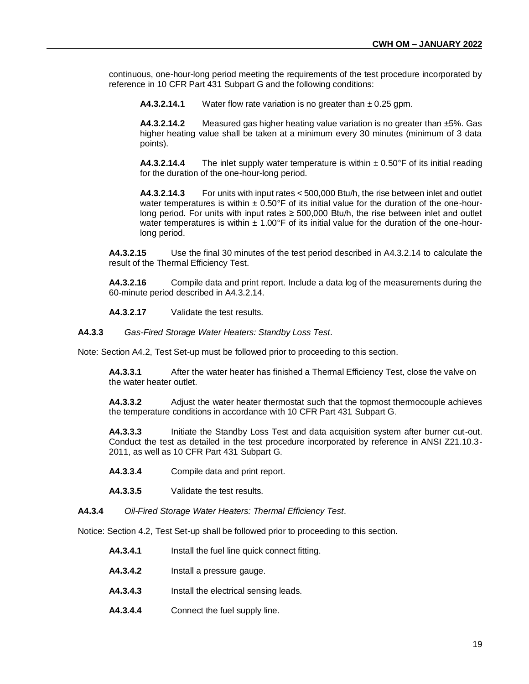continuous, one-hour-long period meeting the requirements of the test procedure incorporated by reference in 10 CFR Part 431 Subpart G and the following conditions:

**A4.3.2.14.1** Water flow rate variation is no greater than ± 0.25 gpm.

**A4.3.2.14.2** Measured gas higher heating value variation is no greater than ±5%. Gas higher heating value shall be taken at a minimum every 30 minutes (minimum of 3 data points).

**A4.3.2.14.4** The inlet supply water temperature is within  $\pm$  0.50°F of its initial reading for the duration of the one-hour-long period.

**A4.3.2.14.3** For units with input rates < 500,000 Btu/h, the rise between inlet and outlet water temperatures is within  $\pm 0.50^{\circ}$  F of its initial value for the duration of the one-hourlong period. For units with input rates  $\geq 500,000$  Btu/h, the rise between inlet and outlet water temperatures is within  $\pm 1.00^{\circ}$  F of its initial value for the duration of the one-hourlong period.

**A4.3.2.15** Use the final 30 minutes of the test period described in A4.3.2.14 to calculate the result of the Thermal Efficiency Test.

**A4.3.2.16** Compile data and print report. Include a data log of the measurements during the 60-minute period described in A4.3.2.14.

**A4.3.2.17** Validate the test results.

**A4.3.3** *Gas-Fired Storage Water Heaters: Standby Loss Test*.

Note: Section A4.2, Test Set-up must be followed prior to proceeding to this section.

**A4.3.3.1** After the water heater has finished a Thermal Efficiency Test, close the valve on the water heater outlet.

**A4.3.3.2** Adjust the water heater thermostat such that the topmost thermocouple achieves the temperature conditions in accordance with 10 CFR Part 431 Subpart G.

**A4.3.3.3** Initiate the Standby Loss Test and data acquisition system after burner cut-out. Conduct the test as detailed in the test procedure incorporated by reference in ANSI Z21.10.3- 2011, as well as 10 CFR Part 431 Subpart G.

**A4.3.3.4** Compile data and print report.

**A4.3.3.5** Validate the test results.

**A4.3.4** *Oil-Fired Storage Water Heaters: Thermal Efficiency Test*.

Notice: Section 4.2, Test Set-up shall be followed prior to proceeding to this section.

- **A4.3.4.1** Install the fuel line quick connect fitting.
- **A4.3.4.2** Install a pressure gauge.
- **A4.3.4.3** Install the electrical sensing leads.
- **A4.3.4.4** Connect the fuel supply line.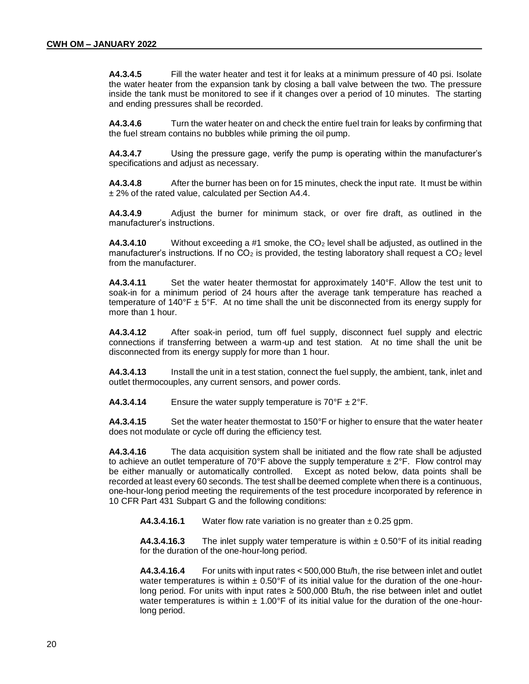**A4.3.4.5** Fill the water heater and test it for leaks at a minimum pressure of 40 psi. Isolate the water heater from the expansion tank by closing a ball valve between the two. The pressure inside the tank must be monitored to see if it changes over a period of 10 minutes. The starting and ending pressures shall be recorded.

**A4.3.4.6** Turn the water heater on and check the entire fuel train for leaks by confirming that the fuel stream contains no bubbles while priming the oil pump.

**A4.3.4.7** Using the pressure gage, verify the pump is operating within the manufacturer's specifications and adjust as necessary.

**A4.3.4.8** After the burner has been on for 15 minutes, check the input rate. It must be within ± 2% of the rated value, calculated per Section A4.4.

**A4.3.4.9** Adjust the burner for minimum stack, or over fire draft, as outlined in the manufacturer's instructions.

**A4.3.4.10** Without exceeding a #1 smoke, the CO<sub>2</sub> level shall be adjusted, as outlined in the manufacturer's instructions. If no  $CO<sub>2</sub>$  is provided, the testing laboratory shall request a  $CO<sub>2</sub>$  level from the manufacturer.

**A4.3.4.11** Set the water heater thermostat for approximately 140°F. Allow the test unit to soak-in for a minimum period of 24 hours after the average tank temperature has reached a temperature of 140°F  $\pm$  5°F. At no time shall the unit be disconnected from its energy supply for more than 1 hour.

**A4.3.4.12** After soak-in period, turn off fuel supply, disconnect fuel supply and electric connections if transferring between a warm-up and test station. At no time shall the unit be disconnected from its energy supply for more than 1 hour.

**A4.3.4.13** Install the unit in a test station, connect the fuel supply, the ambient, tank, inlet and outlet thermocouples, any current sensors, and power cords.

**A4.3.4.14** Ensure the water supply temperature is  $70^{\circ}$ F  $\pm 2^{\circ}$ F.

**A4.3.4.15** Set the water heater thermostat to 150°F or higher to ensure that the water heater does not modulate or cycle off during the efficiency test.

**A4.3.4.16** The data acquisition system shall be initiated and the flow rate shall be adjusted to achieve an outlet temperature of 70°F above the supply temperature  $\pm 2$ °F. Flow control may be either manually or automatically controlled. Except as noted below, data points shall be recorded at least every 60 seconds. The test shall be deemed complete when there is a continuous, one-hour-long period meeting the requirements of the test procedure incorporated by reference in 10 CFR Part 431 Subpart G and the following conditions:

**A4.3.4.16.1** Water flow rate variation is no greater than ± 0.25 gpm.

**A4.3.4.16.3** The inlet supply water temperature is within  $\pm 0.50$ °F of its initial reading for the duration of the one-hour-long period.

**A4.3.4.16.4** For units with input rates < 500,000 Btu/h, the rise between inlet and outlet water temperatures is within  $\pm 0.50$ °F of its initial value for the duration of the one-hourlong period. For units with input rates  $\geq 500,000$  Btu/h, the rise between inlet and outlet water temperatures is within  $\pm 1.00$ °F of its initial value for the duration of the one-hourlong period.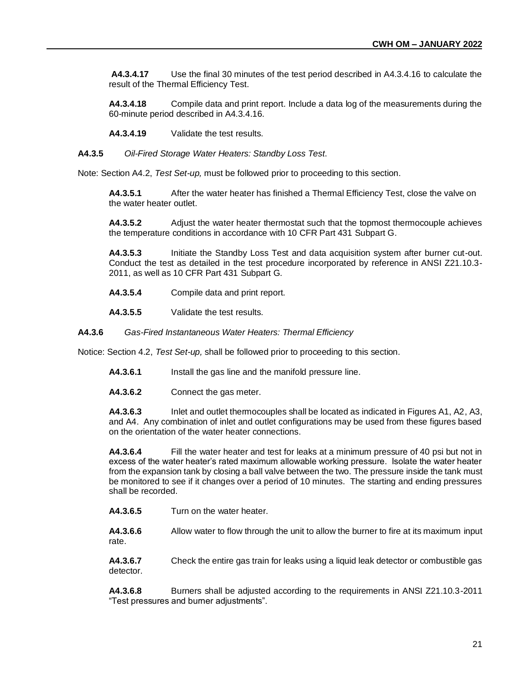**A4.3.4.17** Use the final 30 minutes of the test period described in A4.3.4.16 to calculate the result of the Thermal Efficiency Test.

**A4.3.4.18** Compile data and print report. Include a data log of the measurements during the 60-minute period described in A4.3.4.16.

**A4.3.4.19** Validate the test results.

**A4.3.5** *Oil-Fired Storage Water Heaters: Standby Loss Test*.

Note: Section A4.2, *Test Set-up,* must be followed prior to proceeding to this section.

**A4.3.5.1** After the water heater has finished a Thermal Efficiency Test, close the valve on the water heater outlet.

**A4.3.5.2** Adjust the water heater thermostat such that the topmost thermocouple achieves the temperature conditions in accordance with 10 CFR Part 431 Subpart G.

**A4.3.5.3** Initiate the Standby Loss Test and data acquisition system after burner cut-out. Conduct the test as detailed in the test procedure incorporated by reference in ANSI Z21.10.3- 2011, as well as 10 CFR Part 431 Subpart G.

- **A4.3.5.4** Compile data and print report.
- **A4.3.5.5** Validate the test results.

**A4.3.6** *Gas-Fired Instantaneous Water Heaters: Thermal Efficiency* 

Notice: Section 4.2, *Test Set-up,* shall be followed prior to proceeding to this section.

- **A4.3.6.1** Install the gas line and the manifold pressure line.
- **A4.3.6.2** Connect the gas meter.

**A4.3.6.3** Inlet and outlet thermocouples shall be located as indicated in Figures A1, A2, A3, and A4. Any combination of inlet and outlet configurations may be used from these figures based on the orientation of the water heater connections.

**A4.3.6.4** Fill the water heater and test for leaks at a minimum pressure of 40 psi but not in excess of the water heater's rated maximum allowable working pressure. Isolate the water heater from the expansion tank by closing a ball valve between the two. The pressure inside the tank must be monitored to see if it changes over a period of 10 minutes. The starting and ending pressures shall be recorded.

**A4.3.6.5** Turn on the water heater.

**A4.3.6.6** Allow water to flow through the unit to allow the burner to fire at its maximum input rate.

**A4.3.6.7** Check the entire gas train for leaks using a liquid leak detector or combustible gas detector.

**A4.3.6.8** Burners shall be adjusted according to the requirements in ANSI Z21.10.3-2011 "Test pressures and burner adjustments".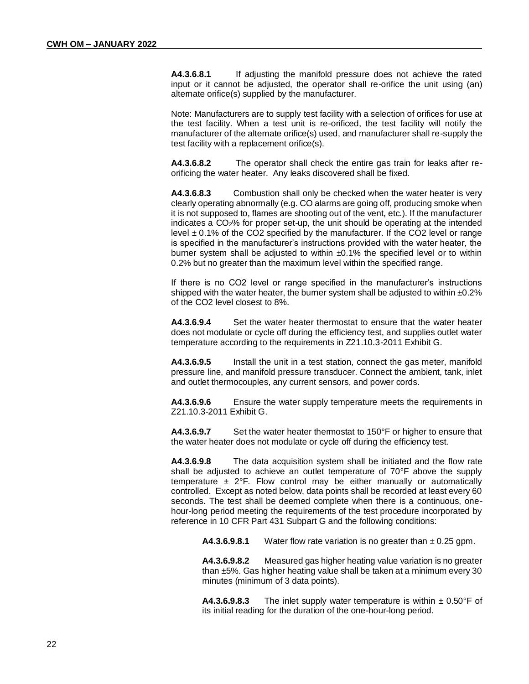**A4.3.6.8.1** If adjusting the manifold pressure does not achieve the rated input or it cannot be adjusted, the operator shall re-orifice the unit using (an) alternate orifice(s) supplied by the manufacturer.

Note: Manufacturers are to supply test facility with a selection of orifices for use at the test facility. When a test unit is re-orificed, the test facility will notify the manufacturer of the alternate orifice(s) used, and manufacturer shall re-supply the test facility with a replacement orifice(s).

**A4.3.6.8.2** The operator shall check the entire gas train for leaks after reorificing the water heater. Any leaks discovered shall be fixed.

**A4.3.6.8.3** Combustion shall only be checked when the water heater is very clearly operating abnormally (e.g. CO alarms are going off, producing smoke when it is not supposed to, flames are shooting out of the vent, etc.). If the manufacturer indicates a CO2% for proper set-up, the unit should be operating at the intended level  $\pm$  0.1% of the CO2 specified by the manufacturer. If the CO2 level or range is specified in the manufacturer's instructions provided with the water heater, the burner system shall be adjusted to within  $\pm 0.1\%$  the specified level or to within 0.2% but no greater than the maximum level within the specified range.

If there is no CO2 level or range specified in the manufacturer's instructions shipped with the water heater, the burner system shall be adjusted to within  $\pm 0.2\%$ of the CO2 level closest to 8%.

**A4.3.6.9.4** Set the water heater thermostat to ensure that the water heater does not modulate or cycle off during the efficiency test, and supplies outlet water temperature according to the requirements in Z21.10.3-2011 Exhibit G.

**A4.3.6.9.5** Install the unit in a test station, connect the gas meter, manifold pressure line, and manifold pressure transducer. Connect the ambient, tank, inlet and outlet thermocouples, any current sensors, and power cords.

**A4.3.6.9.6** Ensure the water supply temperature meets the requirements in Z21.10.3-2011 Exhibit G.

**A4.3.6.9.7** Set the water heater thermostat to 150°F or higher to ensure that the water heater does not modulate or cycle off during the efficiency test.

**A4.3.6.9.8** The data acquisition system shall be initiated and the flow rate shall be adjusted to achieve an outlet temperature of 70°F above the supply temperature  $\pm$  2°F. Flow control may be either manually or automatically controlled. Except as noted below, data points shall be recorded at least every 60 seconds. The test shall be deemed complete when there is a continuous, onehour-long period meeting the requirements of the test procedure incorporated by reference in 10 CFR Part 431 Subpart G and the following conditions:

**A4.3.6.9.8.1** Water flow rate variation is no greater than  $\pm$  0.25 gpm.

**A4.3.6.9.8.2** Measured gas higher heating value variation is no greater than ±5%. Gas higher heating value shall be taken at a minimum every 30 minutes (minimum of 3 data points).

**A4.3.6.9.8.3** The inlet supply water temperature is within  $\pm$  0.50°F of its initial reading for the duration of the one-hour-long period.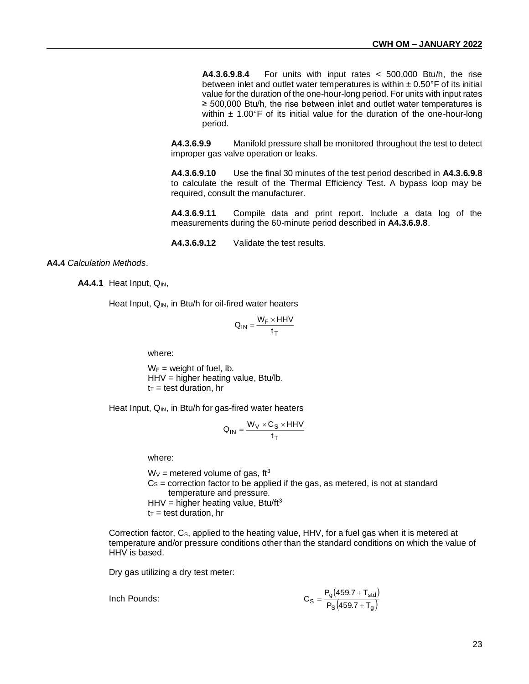**A4.3.6.9.8.4** For units with input rates < 500,000 Btu/h, the rise between inlet and outlet water temperatures is within  $\pm$  0.50°F of its initial value for the duration of the one-hour-long period. For units with input rates ≥ 500,000 Btu/h, the rise between inlet and outlet water temperatures is within  $\pm$  1.00°F of its initial value for the duration of the one-hour-long period.

**A4.3.6.9.9** Manifold pressure shall be monitored throughout the test to detect improper gas valve operation or leaks.

**A4.3.6.9.10** Use the final 30 minutes of the test period described in **A4.3.6.9.8**  to calculate the result of the Thermal Efficiency Test. A bypass loop may be required, consult the manufacturer.

**A4.3.6.9.11** Compile data and print report. Include a data log of the measurements during the 60-minute period described in **A4.3.6.9.8**.

**A4.3.6.9.12** Validate the test results.

#### **A4.4** *Calculation Methods*.

**A4.4.1** Heat Input, Q<sub>IN</sub>,

Heat Input,  $Q_{IN}$ , in Btu/h for oil-fired water heaters

$$
Q_{IN} = \frac{W_F \times HHV}{t_T}
$$

where:

 $W_F$  = weight of fuel, lb. HHV = higher heating value, Btu/lb.  $t_T$  = test duration, hr

Heat Input, Q<sub>IN</sub>, in Btu/h for gas-fired water heaters

$$
Q_{IN} = \frac{W_V \times C_S \times HHV}{t_T}
$$

where:

 $W_v$  = metered volume of gas, ft<sup>3</sup>  $Cs =$  correction factor to be applied if the gas, as metered, is not at standard temperature and pressure. HHV = higher heating value, Btu/ft<sup>3</sup>  $t_T$  = test duration, hr

Correction factor, Cs, applied to the heating value, HHV, for a fuel gas when it is metered at temperature and/or pressure conditions other than the standard conditions on which the value of HHV is based.

Dry gas utilizing a dry test meter:

Inch Pounds:

$$
C_{S} = \frac{P_{g}(459.7 + T_{std})}{P_{S}(459.7 + T_{g})}
$$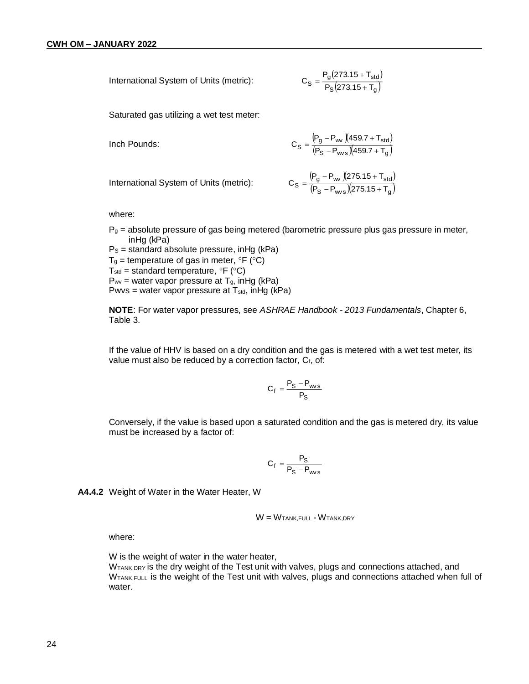International System of Units (metric): 
$$
C_S = \frac{P_g(273.15 + T_{std})}{P_S(273.15 + T_g)}
$$

Saturated gas utilizing a wet test meter:

Inch Pounds:

$$
C_S = \frac{\left( P_g - P_{\text{w}} \right) \left( 459.7 + T_{\text{std}} \right)}{\left( P_S - P_{\text{w}} \right) \left( 459.7 + T_g \right)}
$$

International System of Units (metric):

$$
C_S = \frac{\left(P_g - P_w\right)\left(275.15 + T_{std}\right)}{\left(P_S - P_{ws}\right)\left(275.15 + T_g\right)}
$$

where:

 $P<sub>g</sub>$  = absolute pressure of gas being metered (barometric pressure plus gas pressure in meter, inHg (kPa)

 $Ps =$  standard absolute pressure, in Hg (kPa)  $T_g$  = temperature of gas in meter,  $\degree$ F ( $\degree$ C) T<sub>std</sub> = standard temperature,  $\mathrm{P}F$  ( $\mathrm{C}O$ )  $P_{\text{wv}}$  = water vapor pressure at T<sub>g</sub>, inHg (kPa) Pwvs = water vapor pressure at  $T_{std}$ , in Hg (kPa)

**NOTE**: For water vapor pressures, see *ASHRAE Handbook - 2013 Fundamentals*, Chapter 6, Table 3.

If the value of HHV is based on a dry condition and the gas is metered with a wet test meter, its value must also be reduced by a correction factor, C<sub>f</sub>, of:

$$
C_f = \frac{P_S - P_{ws}}{P_S}
$$

Conversely, if the value is based upon a saturated condition and the gas is metered dry, its value must be increased by a factor of:

$$
C_f = \frac{P_S}{P_S - P_{ws}}
$$

**A4.4.2** Weight of Water in the Water Heater, W

$$
W = W_{TANK,FULL} - W_{TANK,DRY}
$$

where:

W is the weight of water in the water heater,

W<sub>TANK,DRY</sub> is the dry weight of the Test unit with valves, plugs and connections attached, and WTANK,FULL is the weight of the Test unit with valves, plugs and connections attached when full of water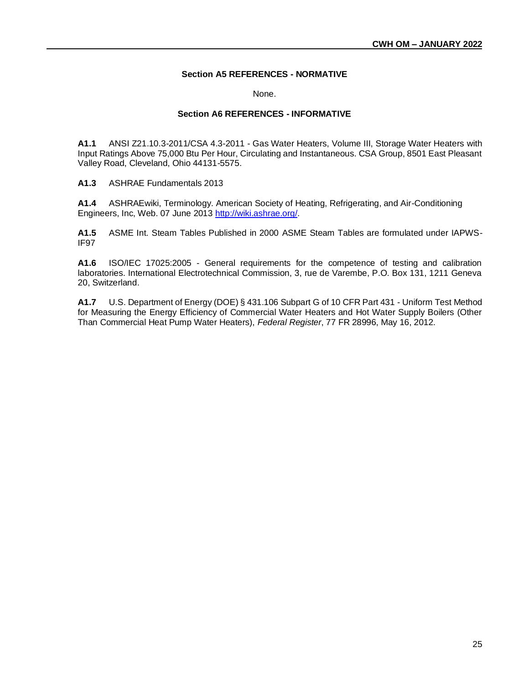#### **Section A5 REFERENCES - NORMATIVE**

None.

#### **Section A6 REFERENCES - INFORMATIVE**

**A1.1** ANSI Z21.10.3-2011/CSA 4.3-2011 - Gas Water Heaters, Volume III, Storage Water Heaters with Input Ratings Above 75,000 Btu Per Hour, Circulating and Instantaneous. CSA Group, 8501 East Pleasant Valley Road, Cleveland, Ohio 44131-5575.

**A1.3** ASHRAE Fundamentals 2013

**A1.4** ASHRAEwiki, Terminology. American Society of Heating, Refrigerating, and Air-Conditioning Engineers, Inc, Web. 07 June 2013 [http://wiki.ashrae.org/.](http://wiki.ashrae.org/)

**A1.5** ASME Int. Steam Tables Published in 2000 ASME Steam Tables are formulated under IAPWS-IF97

**A1.6** ISO/IEC 17025:2005 - General requirements for the competence of testing and calibration laboratories. International Electrotechnical Commission, 3, rue de Varembe, P.O. Box 131, 1211 Geneva 20, Switzerland.

**A1.7** U.S. Department of Energy (DOE) § 431.106 Subpart G of 10 CFR Part 431 - Uniform Test Method for Measuring the Energy Efficiency of Commercial Water Heaters and Hot Water Supply Boilers (Other Than Commercial Heat Pump Water Heaters), *Federal Register*, 77 FR 28996, May 16, 2012.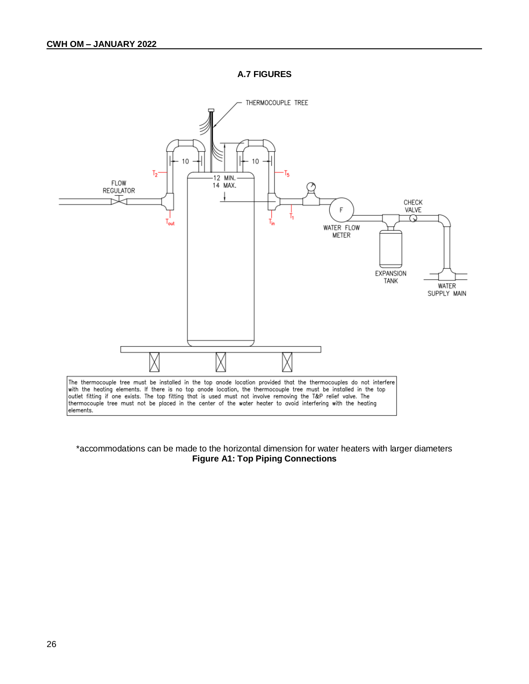**A.7 FIGURES**



#### \*accommodations can be made to the horizontal dimension for water heaters with larger diameters **Figure A1: Top Piping Connections**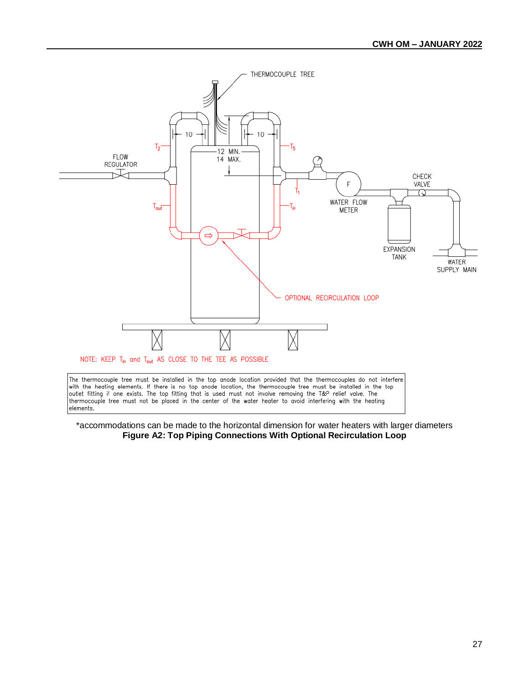

\*accommodations can be made to the horizontal dimension for water heaters with larger diameters **Figure A2: Top Piping Connections With Optional Recirculation Loop**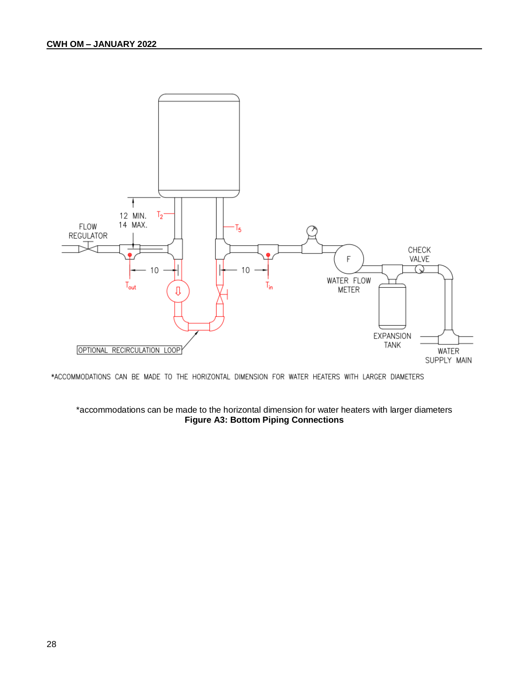

\*ACCOMMODATIONS CAN BE MADE TO THE HORIZONTAL DIMENSION FOR WATER HEATERS WITH LARGER DIAMETERS

#### \*accommodations can be made to the horizontal dimension for water heaters with larger diameters **Figure A3: Bottom Piping Connections**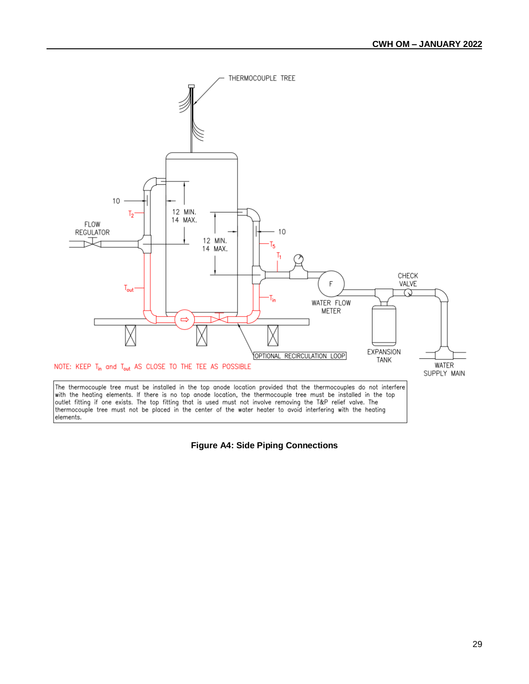

**Figure A4: Side Piping Connections**